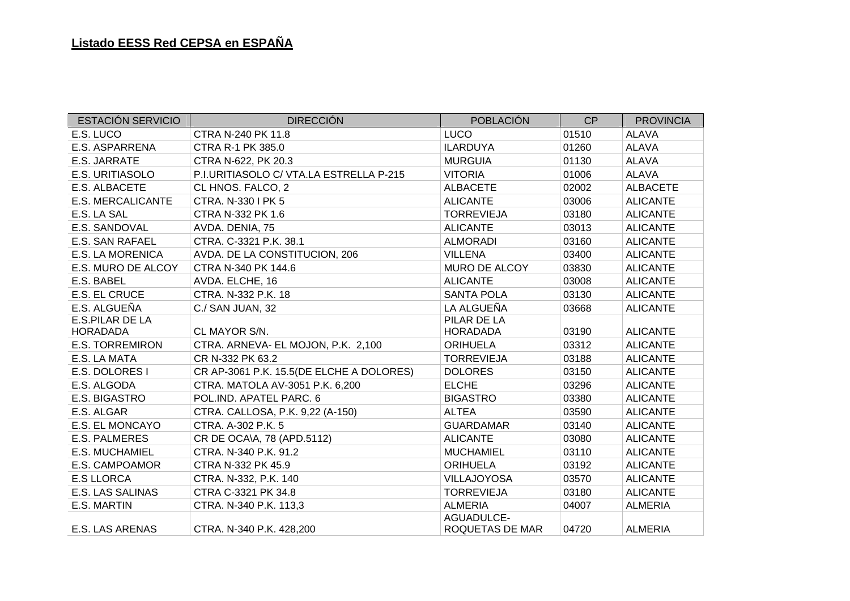| <b>ESTACIÓN SERVICIO</b> | <b>DIRECCIÓN</b>                         | <b>POBLACIÓN</b>              | CP    | <b>PROVINCIA</b> |
|--------------------------|------------------------------------------|-------------------------------|-------|------------------|
| E.S. LUCO                | CTRA N-240 PK 11.8                       | <b>LUCO</b>                   | 01510 | <b>ALAVA</b>     |
| E.S. ASPARRENA           | <b>CTRA R-1 PK 385.0</b>                 | <b>ILARDUYA</b>               | 01260 | <b>ALAVA</b>     |
| E.S. JARRATE             | CTRA N-622, PK 20.3                      | <b>MURGUIA</b>                | 01130 | <b>ALAVA</b>     |
| E.S. URITIASOLO          | P.I.URITIASOLO C/ VTA.LA ESTRELLA P-215  | <b>VITORIA</b>                | 01006 | <b>ALAVA</b>     |
| E.S. ALBACETE            | CL HNOS. FALCO, 2                        | <b>ALBACETE</b>               | 02002 | <b>ALBACETE</b>  |
| E.S. MERCALICANTE        | CTRA. N-330 I PK 5                       | <b>ALICANTE</b>               | 03006 | <b>ALICANTE</b>  |
| E.S. LA SAL              | CTRA N-332 PK 1.6                        | <b>TORREVIEJA</b>             | 03180 | <b>ALICANTE</b>  |
| E.S. SANDOVAL            | AVDA. DENIA, 75                          | <b>ALICANTE</b>               | 03013 | <b>ALICANTE</b>  |
| E.S. SAN RAFAEL          | CTRA. C-3321 P.K. 38.1                   | <b>ALMORADI</b>               | 03160 | <b>ALICANTE</b>  |
| <b>E.S. LA MORENICA</b>  | AVDA. DE LA CONSTITUCION, 206            | <b>VILLENA</b>                | 03400 | <b>ALICANTE</b>  |
| E.S. MURO DE ALCOY       | CTRA N-340 PK 144.6                      | MURO DE ALCOY                 | 03830 | <b>ALICANTE</b>  |
| E.S. BABEL               | AVDA. ELCHE, 16                          | <b>ALICANTE</b>               | 03008 | <b>ALICANTE</b>  |
| E.S. EL CRUCE            | CTRA. N-332 P.K. 18                      | <b>SANTA POLA</b>             | 03130 | <b>ALICANTE</b>  |
| E.S. ALGUEÑA             | C./ SAN JUAN, 32                         | LA ALGUEÑA                    | 03668 | <b>ALICANTE</b>  |
| E.S.PILAR DE LA          |                                          | PILAR DE LA                   |       |                  |
| <b>HORADADA</b>          | CL MAYOR S/N.                            | <b>HORADADA</b>               | 03190 | <b>ALICANTE</b>  |
| <b>E.S. TORREMIRON</b>   | CTRA. ARNEVA- EL MOJON, P.K. 2,100       | <b>ORIHUELA</b>               | 03312 | <b>ALICANTE</b>  |
| E.S. LA MATA             | CR N-332 PK 63.2                         | <b>TORREVIEJA</b>             | 03188 | <b>ALICANTE</b>  |
| E.S. DOLORES I           | CR AP-3061 P.K. 15.5(DE ELCHE A DOLORES) | <b>DOLORES</b>                | 03150 | <b>ALICANTE</b>  |
| E.S. ALGODA              | CTRA. MATOLA AV-3051 P.K. 6,200          | <b>ELCHE</b>                  | 03296 | <b>ALICANTE</b>  |
| E.S. BIGASTRO            | POL.IND. APATEL PARC. 6                  | <b>BIGASTRO</b>               | 03380 | <b>ALICANTE</b>  |
| E.S. ALGAR               | CTRA. CALLOSA, P.K. 9,22 (A-150)         | <b>ALTEA</b>                  | 03590 | <b>ALICANTE</b>  |
| E.S. EL MONCAYO          | CTRA. A-302 P.K. 5                       | <b>GUARDAMAR</b>              | 03140 | <b>ALICANTE</b>  |
| <b>E.S. PALMERES</b>     | CR DE OCA\A, 78 (APD.5112)               | <b>ALICANTE</b>               | 03080 | <b>ALICANTE</b>  |
| E.S. MUCHAMIEL           | CTRA. N-340 P.K. 91.2                    | <b>MUCHAMIEL</b>              | 03110 | <b>ALICANTE</b>  |
| E.S. CAMPOAMOR           | CTRA N-332 PK 45.9                       | <b>ORIHUELA</b>               | 03192 | <b>ALICANTE</b>  |
| <b>E.S LLORCA</b>        | CTRA. N-332, P.K. 140                    | <b>VILLAJOYOSA</b>            | 03570 | <b>ALICANTE</b>  |
| <b>E.S. LAS SALINAS</b>  | CTRA C-3321 PK 34.8                      | <b>TORREVIEJA</b>             | 03180 | <b>ALICANTE</b>  |
| E.S. MARTIN              | CTRA. N-340 P.K. 113,3                   | <b>ALMERIA</b>                | 04007 | <b>ALMERIA</b>   |
| E.S. LAS ARENAS          | CTRA. N-340 P.K. 428,200                 | AGUADULCE-<br>ROQUETAS DE MAR | 04720 | <b>ALMERIA</b>   |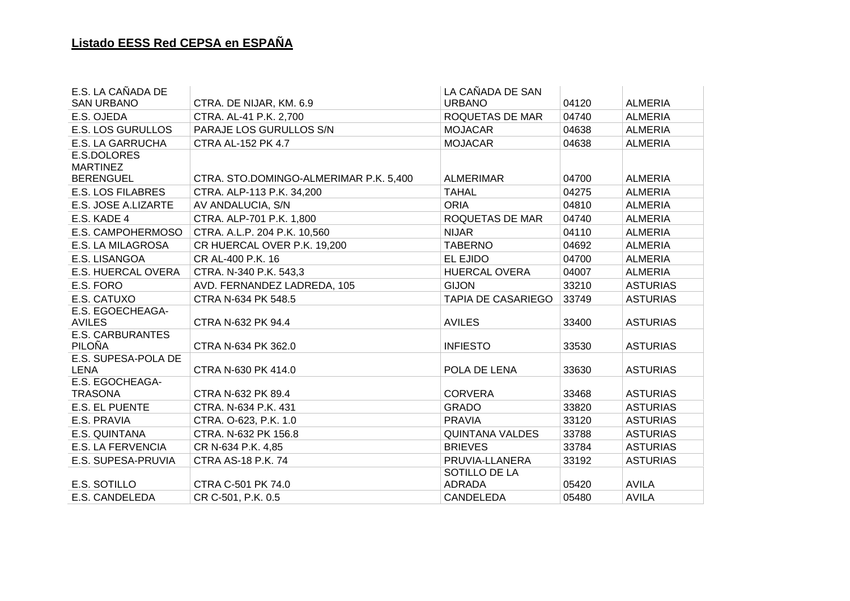| E.S. LA CAÑADA DE                  |                                        | LA CAÑADA DE SAN               |       |                 |
|------------------------------------|----------------------------------------|--------------------------------|-------|-----------------|
| <b>SAN URBANO</b>                  | CTRA. DE NIJAR, KM. 6.9                | <b>URBANO</b>                  | 04120 | <b>ALMERIA</b>  |
| E.S. OJEDA                         | CTRA. AL-41 P.K. 2,700                 | ROQUETAS DE MAR                | 04740 | <b>ALMERIA</b>  |
| <b>E.S. LOS GURULLOS</b>           | PARAJE LOS GURULLOS S/N                | <b>MOJACAR</b>                 | 04638 | <b>ALMERIA</b>  |
| <b>E.S. LA GARRUCHA</b>            | <b>CTRA AL-152 PK 4.7</b>              | <b>MOJACAR</b>                 | 04638 | <b>ALMERIA</b>  |
| E.S.DOLORES<br><b>MARTINEZ</b>     |                                        |                                |       |                 |
| <b>BERENGUEL</b>                   | CTRA. STO.DOMINGO-ALMERIMAR P.K. 5,400 | <b>ALMERIMAR</b>               | 04700 | <b>ALMERIA</b>  |
| <b>E.S. LOS FILABRES</b>           | CTRA. ALP-113 P.K. 34,200              | <b>TAHAL</b>                   | 04275 | <b>ALMERIA</b>  |
| E.S. JOSE A.LIZARTE                | AV ANDALUCIA, S/N                      | <b>ORIA</b>                    | 04810 | <b>ALMERIA</b>  |
| E.S. KADE 4                        | CTRA. ALP-701 P.K. 1,800               | ROQUETAS DE MAR                | 04740 | <b>ALMERIA</b>  |
| E.S. CAMPOHERMOSO                  | CTRA. A.L.P. 204 P.K. 10,560           | <b>NIJAR</b>                   | 04110 | <b>ALMERIA</b>  |
| E.S. LA MILAGROSA                  | CR HUERCAL OVER P.K. 19,200            | <b>TABERNO</b>                 | 04692 | <b>ALMERIA</b>  |
| E.S. LISANGOA                      | CR AL-400 P.K. 16                      | EL EJIDO                       | 04700 | <b>ALMERIA</b>  |
| E.S. HUERCAL OVERA                 | CTRA. N-340 P.K. 543,3                 | <b>HUERCAL OVERA</b>           | 04007 | <b>ALMERIA</b>  |
| E.S. FORO                          | AVD. FERNANDEZ LADREDA, 105            | <b>GIJON</b>                   | 33210 | <b>ASTURIAS</b> |
| E.S. CATUXO                        | CTRA N-634 PK 548.5                    | <b>TAPIA DE CASARIEGO</b>      | 33749 | <b>ASTURIAS</b> |
| E.S. EGOECHEAGA-<br><b>AVILES</b>  | CTRA N-632 PK 94.4                     | <b>AVILES</b>                  | 33400 | <b>ASTURIAS</b> |
| <b>E.S. CARBURANTES</b><br>PILOÑA  | CTRA N-634 PK 362.0                    | <b>INFIESTO</b>                | 33530 | <b>ASTURIAS</b> |
| E.S. SUPESA-POLA DE<br><b>LENA</b> | CTRA N-630 PK 414.0                    | POLA DE LENA                   | 33630 | <b>ASTURIAS</b> |
| E.S. EGOCHEAGA-<br><b>TRASONA</b>  | CTRA N-632 PK 89.4                     | <b>CORVERA</b>                 | 33468 | <b>ASTURIAS</b> |
| <b>E.S. EL PUENTE</b>              | CTRA. N-634 P.K. 431                   | <b>GRADO</b>                   | 33820 | <b>ASTURIAS</b> |
| E.S. PRAVIA                        | CTRA. O-623, P.K. 1.0                  | <b>PRAVIA</b>                  | 33120 | <b>ASTURIAS</b> |
| E.S. QUINTANA                      | CTRA. N-632 PK 156.8                   | <b>QUINTANA VALDES</b>         | 33788 | <b>ASTURIAS</b> |
| <b>E.S. LA FERVENCIA</b>           | CR N-634 P.K. 4,85                     | <b>BRIEVES</b>                 | 33784 | <b>ASTURIAS</b> |
| E.S. SUPESA-PRUVIA                 | <b>CTRA AS-18 P.K. 74</b>              | PRUVIA-LLANERA                 | 33192 | <b>ASTURIAS</b> |
| E.S. SOTILLO                       | CTRA C-501 PK 74.0                     | SOTILLO DE LA<br><b>ADRADA</b> | 05420 | <b>AVILA</b>    |
| E.S. CANDELEDA                     | CR C-501, P.K. 0.5                     | CANDELEDA                      | 05480 | <b>AVILA</b>    |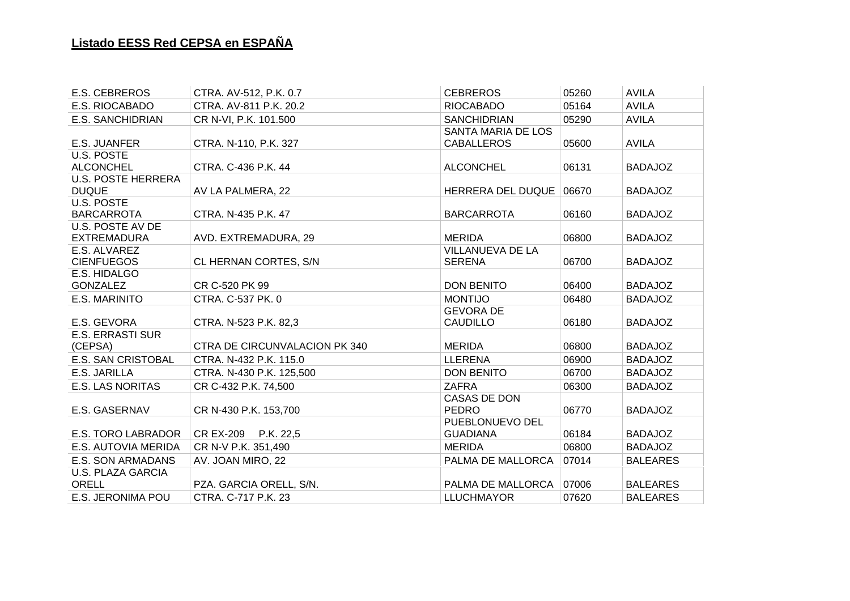| <b>E.S. CEBREROS</b>                  | CTRA. AV-512, P.K. 0.7        | <b>CEBREROS</b>          | 05260 | <b>AVILA</b>    |
|---------------------------------------|-------------------------------|--------------------------|-------|-----------------|
| E.S. RIOCABADO                        | CTRA, AV-811 P.K. 20.2        | <b>RIOCABADO</b>         | 05164 | <b>AVILA</b>    |
| <b>E.S. SANCHIDRIAN</b>               | CR N-VI, P.K. 101.500         | <b>SANCHIDRIAN</b>       | 05290 | <b>AVILA</b>    |
|                                       |                               | SANTA MARIA DE LOS       |       |                 |
| <b>E.S. JUANFER</b>                   | CTRA. N-110, P.K. 327         | <b>CABALLEROS</b>        | 05600 | <b>AVILA</b>    |
| <b>U.S. POSTE</b>                     |                               |                          |       |                 |
| <b>ALCONCHEL</b>                      | CTRA. C-436 P.K. 44           | <b>ALCONCHEL</b>         | 06131 | <b>BADAJOZ</b>  |
| <b>U.S. POSTE HERRERA</b>             |                               |                          |       |                 |
| <b>DUQUE</b>                          | AV LA PALMERA, 22             | <b>HERRERA DEL DUQUE</b> | 06670 | <b>BADAJOZ</b>  |
| <b>U.S. POSTE</b>                     |                               |                          |       |                 |
| <b>BARCARROTA</b><br>U.S. POSTE AV DE | CTRA. N-435 P.K. 47           | <b>BARCARROTA</b>        | 06160 | <b>BADAJOZ</b>  |
| <b>EXTREMADURA</b>                    | AVD. EXTREMADURA, 29          | <b>MERIDA</b>            | 06800 | <b>BADAJOZ</b>  |
| E.S. ALVAREZ                          |                               | VILLANUEVA DE LA         |       |                 |
| <b>CIENFUEGOS</b>                     | CL HERNAN CORTES, S/N         | <b>SERENA</b>            | 06700 | <b>BADAJOZ</b>  |
| E.S. HIDALGO                          |                               |                          |       |                 |
| <b>GONZALEZ</b>                       | CR C-520 PK 99                | <b>DON BENITO</b>        | 06400 | <b>BADAJOZ</b>  |
| E.S. MARINITO                         | CTRA. C-537 PK. 0             | <b>MONTIJO</b>           | 06480 | <b>BADAJOZ</b>  |
|                                       |                               | <b>GEVORA DE</b>         |       |                 |
| E.S. GEVORA                           | CTRA. N-523 P.K. 82,3         | <b>CAUDILLO</b>          | 06180 | <b>BADAJOZ</b>  |
| <b>E.S. ERRASTI SUR</b>               |                               |                          |       |                 |
| (CEPSA)                               | CTRA DE CIRCUNVALACION PK 340 | <b>MERIDA</b>            | 06800 | <b>BADAJOZ</b>  |
| <b>E.S. SAN CRISTOBAL</b>             | CTRA. N-432 P.K. 115.0        | <b>LLERENA</b>           | 06900 | <b>BADAJOZ</b>  |
| E.S. JARILLA                          | CTRA. N-430 P.K. 125,500      | <b>DON BENITO</b>        | 06700 | <b>BADAJOZ</b>  |
| <b>E.S. LAS NORITAS</b>               | CR C-432 P.K. 74,500          | <b>ZAFRA</b>             | 06300 | <b>BADAJOZ</b>  |
|                                       |                               | <b>CASAS DE DON</b>      |       |                 |
| E.S. GASERNAV                         | CR N-430 P.K. 153,700         | <b>PEDRO</b>             | 06770 | <b>BADAJOZ</b>  |
|                                       |                               | PUEBLONUEVO DEL          |       |                 |
| <b>E.S. TORO LABRADOR</b>             | CR EX-209 P.K. 22,5           | <b>GUADIANA</b>          | 06184 | <b>BADAJOZ</b>  |
| E.S. AUTOVIA MERIDA                   | CR N-V P.K. 351,490           | <b>MERIDA</b>            | 06800 | <b>BADAJOZ</b>  |
| E.S. SON ARMADANS                     | AV. JOAN MIRO, 22             | PALMA DE MALLORCA        | 07014 | <b>BALEARES</b> |
| <b>U.S. PLAZA GARCIA</b>              |                               |                          |       |                 |
| ORELL                                 | PZA. GARCIA ORELL, S/N.       | PALMA DE MALLORCA        | 07006 | <b>BALEARES</b> |
| E.S. JERONIMA POU                     | CTRA, C-717 P.K. 23           | <b>LLUCHMAYOR</b>        | 07620 | <b>BALEARES</b> |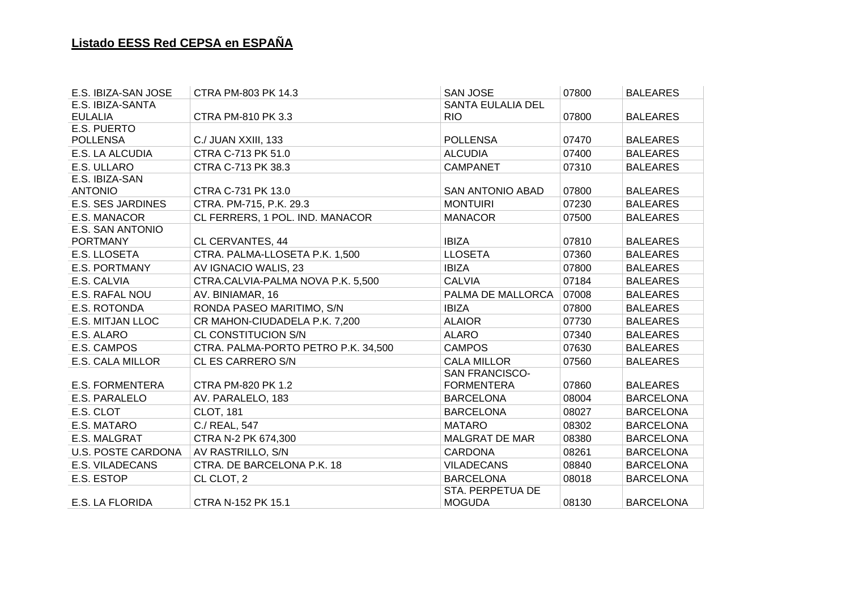| E.S. IBIZA-SAN JOSE       | CTRA PM-803 PK 14.3                 | <b>SAN JOSE</b>          | 07800 | <b>BALEARES</b>  |
|---------------------------|-------------------------------------|--------------------------|-------|------------------|
| E.S. IBIZA-SANTA          |                                     | <b>SANTA EULALIA DEL</b> |       |                  |
| <b>EULALIA</b>            | CTRA PM-810 PK 3.3                  | <b>RIO</b>               | 07800 | <b>BALEARES</b>  |
| E.S. PUERTO               |                                     |                          |       |                  |
| <b>POLLENSA</b>           | C./ JUAN XXIII, 133                 | <b>POLLENSA</b>          | 07470 | <b>BALEARES</b>  |
| E.S. LA ALCUDIA           | CTRA C-713 PK 51.0                  | <b>ALCUDIA</b>           | 07400 | <b>BALEARES</b>  |
| E.S. ULLARO               | CTRA C-713 PK 38.3                  | <b>CAMPANET</b>          | 07310 | <b>BALEARES</b>  |
| E.S. IBIZA-SAN            |                                     |                          |       |                  |
| <b>ANTONIO</b>            | CTRA C-731 PK 13.0                  | <b>SAN ANTONIO ABAD</b>  | 07800 | <b>BALEARES</b>  |
| <b>E.S. SES JARDINES</b>  | CTRA. PM-715, P.K. 29.3             | <b>MONTUIRI</b>          | 07230 | <b>BALEARES</b>  |
| E.S. MANACOR              | CL FERRERS, 1 POL. IND. MANACOR     | <b>MANACOR</b>           | 07500 | <b>BALEARES</b>  |
| E.S. SAN ANTONIO          |                                     |                          |       |                  |
| <b>PORTMANY</b>           | CL CERVANTES, 44                    | <b>IBIZA</b>             | 07810 | <b>BALEARES</b>  |
| E.S. LLOSETA              | CTRA. PALMA-LLOSETA P.K. 1,500      | <b>LLOSETA</b>           | 07360 | <b>BALEARES</b>  |
| <b>E.S. PORTMANY</b>      | AV IGNACIO WALIS, 23                | <b>IBIZA</b>             | 07800 | <b>BALEARES</b>  |
| E.S. CALVIA               | CTRA.CALVIA-PALMA NOVA P.K. 5,500   | <b>CALVIA</b>            | 07184 | <b>BALEARES</b>  |
| E.S. RAFAL NOU            | AV. BINIAMAR, 16                    | PALMA DE MALLORCA        | 07008 | <b>BALEARES</b>  |
| E.S. ROTONDA              | RONDA PASEO MARITIMO, S/N           | <b>IBIZA</b>             | 07800 | <b>BALEARES</b>  |
| E.S. MITJAN LLOC          | CR MAHON-CIUDADELA P.K. 7,200       | <b>ALAIOR</b>            | 07730 | <b>BALEARES</b>  |
| E.S. ALARO                | CL CONSTITUCION S/N                 | <b>ALARO</b>             | 07340 | <b>BALEARES</b>  |
| E.S. CAMPOS               | CTRA. PALMA-PORTO PETRO P.K. 34,500 | <b>CAMPOS</b>            | 07630 | <b>BALEARES</b>  |
| E.S. CALA MILLOR          | CL ES CARRERO S/N                   | <b>CALA MILLOR</b>       | 07560 | <b>BALEARES</b>  |
|                           |                                     | <b>SAN FRANCISCO-</b>    |       |                  |
| <b>E.S. FORMENTERA</b>    | <b>CTRA PM-820 PK 1.2</b>           | <b>FORMENTERA</b>        | 07860 | <b>BALEARES</b>  |
| E.S. PARALELO             | AV. PARALELO, 183                   | <b>BARCELONA</b>         | 08004 | <b>BARCELONA</b> |
| E.S. CLOT                 | <b>CLOT, 181</b>                    | <b>BARCELONA</b>         | 08027 | <b>BARCELONA</b> |
| E.S. MATARO               | C./ REAL, 547                       | <b>MATARO</b>            | 08302 | <b>BARCELONA</b> |
| E.S. MALGRAT              | CTRA N-2 PK 674,300                 | <b>MALGRAT DE MAR</b>    | 08380 | <b>BARCELONA</b> |
| <b>U.S. POSTE CARDONA</b> | AV RASTRILLO, S/N                   | <b>CARDONA</b>           | 08261 | <b>BARCELONA</b> |
| <b>E.S. VILADECANS</b>    | CTRA. DE BARCELONA P.K. 18          | <b>VILADECANS</b>        | 08840 | <b>BARCELONA</b> |
| E.S. ESTOP                | CL CLOT, 2                          | <b>BARCELONA</b>         | 08018 | <b>BARCELONA</b> |
|                           |                                     | STA, PERPETUA DE         |       |                  |
| <b>E.S. LA FLORIDA</b>    | CTRA N-152 PK 15.1                  | <b>MOGUDA</b>            | 08130 | <b>BARCELONA</b> |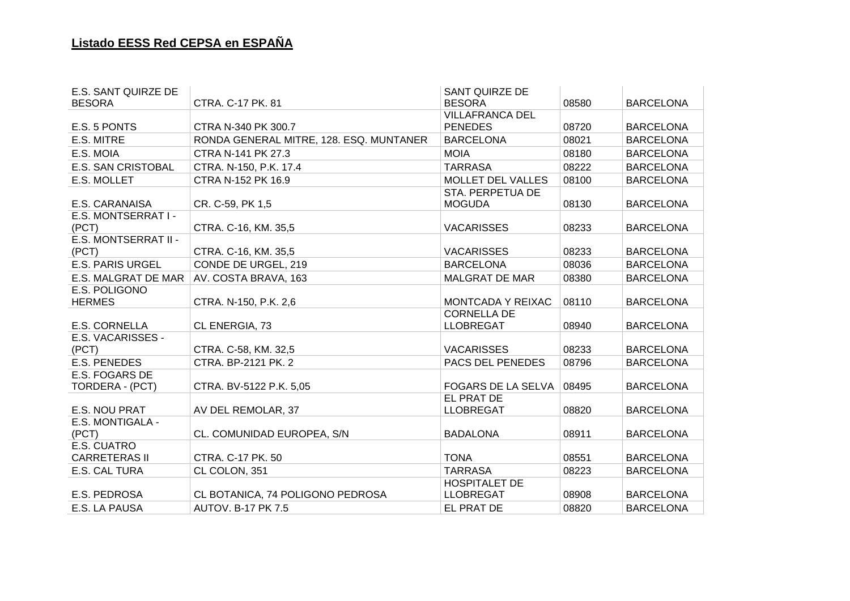| E.S. SANT QUIRZE DE               |                                         | <b>SANT QUIRZE DE</b>     |       |                  |
|-----------------------------------|-----------------------------------------|---------------------------|-------|------------------|
| <b>BESORA</b>                     | CTRA. C-17 PK. 81                       | <b>BESORA</b>             | 08580 | <b>BARCELONA</b> |
|                                   |                                         | <b>VILLAFRANCA DEL</b>    |       |                  |
| E.S. 5 PONTS                      | CTRA N-340 PK 300.7                     | <b>PENEDES</b>            | 08720 | <b>BARCELONA</b> |
| E.S. MITRE                        | RONDA GENERAL MITRE, 128. ESQ. MUNTANER | <b>BARCELONA</b>          | 08021 | <b>BARCELONA</b> |
| E.S. MOIA                         | CTRA N-141 PK 27.3                      | <b>MOIA</b>               | 08180 | <b>BARCELONA</b> |
| E.S. SAN CRISTOBAL                | CTRA. N-150, P.K. 17.4                  | <b>TARRASA</b>            | 08222 | <b>BARCELONA</b> |
| E.S. MOLLET                       | CTRA N-152 PK 16.9                      | MOLLET DEL VALLES         | 08100 | <b>BARCELONA</b> |
|                                   |                                         | STA. PERPETUA DE          |       |                  |
| E.S. CARANAISA                    | CR. C-59, PK 1,5                        | <b>MOGUDA</b>             | 08130 | <b>BARCELONA</b> |
| E.S. MONTSERRAT I -               |                                         |                           |       |                  |
| (PCT)                             | CTRA. C-16, KM. 35,5                    | <b>VACARISSES</b>         | 08233 | <b>BARCELONA</b> |
| E.S. MONTSERRAT II -              |                                         |                           |       |                  |
| (PCT)                             | CTRA. C-16, KM. 35,5                    | <b>VACARISSES</b>         | 08233 | <b>BARCELONA</b> |
| <b>E.S. PARIS URGEL</b>           | CONDE DE URGEL, 219                     | <b>BARCELONA</b>          | 08036 | <b>BARCELONA</b> |
| E.S. MALGRAT DE MAR               | AV. COSTA BRAVA, 163                    | <b>MALGRAT DE MAR</b>     | 08380 | <b>BARCELONA</b> |
| E.S. POLIGONO                     |                                         |                           |       |                  |
| <b>HERMES</b>                     | CTRA. N-150, P.K. 2,6                   | MONTCADA Y REIXAC         | 08110 | <b>BARCELONA</b> |
|                                   |                                         | <b>CORNELLA DE</b>        |       |                  |
| <b>E.S. CORNELLA</b>              | CL ENERGIA, 73                          | <b>LLOBREGAT</b>          | 08940 | <b>BARCELONA</b> |
| E.S. VACARISSES -                 |                                         |                           |       |                  |
| (PCT)                             | CTRA. C-58, KM. 32,5                    | <b>VACARISSES</b>         | 08233 | <b>BARCELONA</b> |
| <b>E.S. PENEDES</b>               | CTRA. BP-2121 PK. 2                     | PACS DEL PENEDES          | 08796 | <b>BARCELONA</b> |
| E.S. FOGARS DE                    |                                         |                           |       |                  |
| TORDERA - (PCT)                   | CTRA. BV-5122 P.K. 5,05                 | <b>FOGARS DE LA SELVA</b> | 08495 | <b>BARCELONA</b> |
|                                   |                                         | EL PRAT DE                |       |                  |
| E.S. NOU PRAT<br>E.S. MONTIGALA - | AV DEL REMOLAR, 37                      | <b>LLOBREGAT</b>          | 08820 | <b>BARCELONA</b> |
| (PCT)                             | CL. COMUNIDAD EUROPEA, S/N              | <b>BADALONA</b>           | 08911 | <b>BARCELONA</b> |
| E.S. CUATRO                       |                                         |                           |       |                  |
| <b>CARRETERAS II</b>              | CTRA. C-17 PK. 50                       | <b>TONA</b>               | 08551 | <b>BARCELONA</b> |
| E.S. CAL TURA                     | CL COLON, 351                           | <b>TARRASA</b>            | 08223 | <b>BARCELONA</b> |
|                                   |                                         | <b>HOSPITALET DE</b>      |       |                  |
| E.S. PEDROSA                      | CL BOTANICA, 74 POLIGONO PEDROSA        | <b>LLOBREGAT</b>          | 08908 | <b>BARCELONA</b> |
| E.S. LA PAUSA                     | <b>AUTOV. B-17 PK 7.5</b>               | EL PRAT DE                | 08820 | <b>BARCELONA</b> |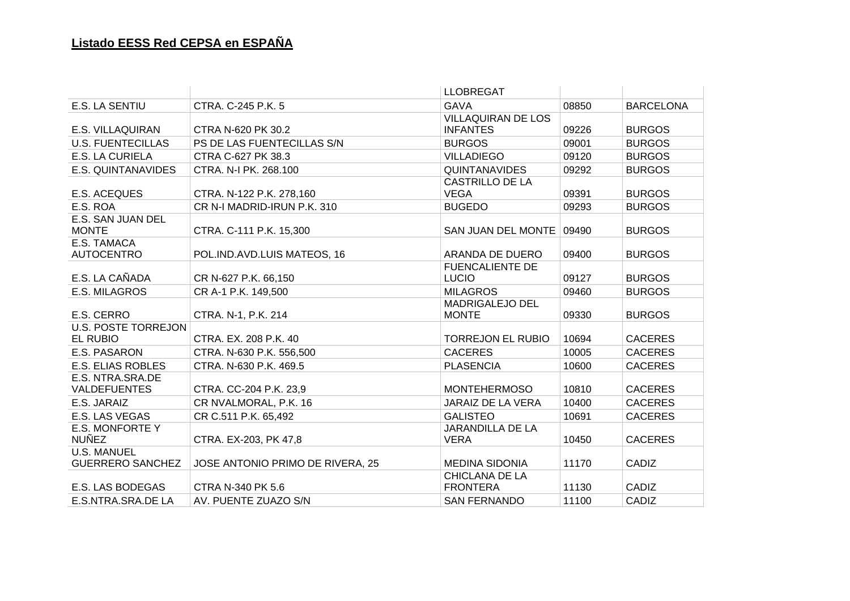|                                  |                                  | <b>LLOBREGAT</b>           |       |                  |
|----------------------------------|----------------------------------|----------------------------|-------|------------------|
| E.S. LA SENTIU                   | CTRA. C-245 P.K. 5               | <b>GAVA</b>                | 08850 | <b>BARCELONA</b> |
|                                  |                                  | <b>VILLAQUIRAN DE LOS</b>  |       |                  |
| E.S. VILLAQUIRAN                 | CTRA N-620 PK 30.2               | <b>INFANTES</b>            | 09226 | <b>BURGOS</b>    |
| <b>U.S. FUENTECILLAS</b>         | PS DE LAS FUENTECILLAS S/N       | <b>BURGOS</b>              | 09001 | <b>BURGOS</b>    |
| E.S. LA CURIELA                  | CTRA C-627 PK 38.3               | <b>VILLADIEGO</b>          | 09120 | <b>BURGOS</b>    |
| E.S. QUINTANAVIDES               | CTRA. N-I PK. 268.100            | <b>QUINTANAVIDES</b>       | 09292 | <b>BURGOS</b>    |
|                                  |                                  | <b>CASTRILLO DE LA</b>     |       |                  |
| E.S. ACEQUES                     | CTRA. N-122 P.K. 278,160         | <b>VEGA</b>                | 09391 | <b>BURGOS</b>    |
| E.S. ROA                         | CR N-I MADRID-IRUN P.K. 310      | <b>BUGEDO</b>              | 09293 | <b>BURGOS</b>    |
| E.S. SAN JUAN DEL                |                                  |                            |       |                  |
| <b>MONTE</b>                     | CTRA. C-111 P.K. 15,300          | SAN JUAN DEL MONTE   09490 |       | <b>BURGOS</b>    |
| E.S. TAMACA<br><b>AUTOCENTRO</b> | POL.IND.AVD.LUIS MATEOS, 16      | ARANDA DE DUERO            | 09400 | <b>BURGOS</b>    |
|                                  |                                  | <b>FUENCALIENTE DE</b>     |       |                  |
| E.S. LA CAÑADA                   | CR N-627 P.K. 66,150             | <b>LUCIO</b>               | 09127 | <b>BURGOS</b>    |
| E.S. MILAGROS                    | CR A-1 P.K. 149,500              | <b>MILAGROS</b>            | 09460 | <b>BURGOS</b>    |
|                                  |                                  | MADRIGALEJO DEL            |       |                  |
| E.S. CERRO                       | CTRA. N-1, P.K. 214              | <b>MONTE</b>               | 09330 | <b>BURGOS</b>    |
| <b>U.S. POSTE TORREJON</b>       |                                  |                            |       |                  |
| EL RUBIO                         | CTRA. EX. 208 P.K. 40            | <b>TORREJON EL RUBIO</b>   | 10694 | <b>CACERES</b>   |
| E.S. PASARON                     | CTRA. N-630 P.K. 556,500         | <b>CACERES</b>             | 10005 | <b>CACERES</b>   |
| <b>E.S. ELIAS ROBLES</b>         | CTRA. N-630 P.K. 469.5           | <b>PLASENCIA</b>           | 10600 | <b>CACERES</b>   |
| E.S. NTRA.SRA.DE                 |                                  |                            |       |                  |
| <b>VALDEFUENTES</b>              | CTRA. CC-204 P.K. 23,9           | <b>MONTEHERMOSO</b>        | 10810 | <b>CACERES</b>   |
| E.S. JARAIZ                      | CR NVALMORAL, P.K. 16            | JARAIZ DE LA VERA          | 10400 | <b>CACERES</b>   |
| E.S. LAS VEGAS                   | CR C.511 P.K. 65,492             | <b>GALISTEO</b>            | 10691 | <b>CACERES</b>   |
| E.S. MONFORTE Y                  |                                  | JARANDILLA DE LA           |       |                  |
| <b>NUÑEZ</b>                     | CTRA. EX-203, PK 47,8            | <b>VERA</b>                | 10450 | <b>CACERES</b>   |
| <b>U.S. MANUEL</b>               |                                  |                            |       |                  |
| <b>GUERRERO SANCHEZ</b>          | JOSE ANTONIO PRIMO DE RIVERA, 25 | <b>MEDINA SIDONIA</b>      | 11170 | CADIZ            |
|                                  |                                  | CHICLANA DE LA             |       |                  |
| E.S. LAS BODEGAS                 | CTRA N-340 PK 5.6                | <b>FRONTERA</b>            | 11130 | CADIZ            |
| E.S.NTRA.SRA.DE LA               | AV. PUENTE ZUAZO S/N             | <b>SAN FERNANDO</b>        | 11100 | CADIZ            |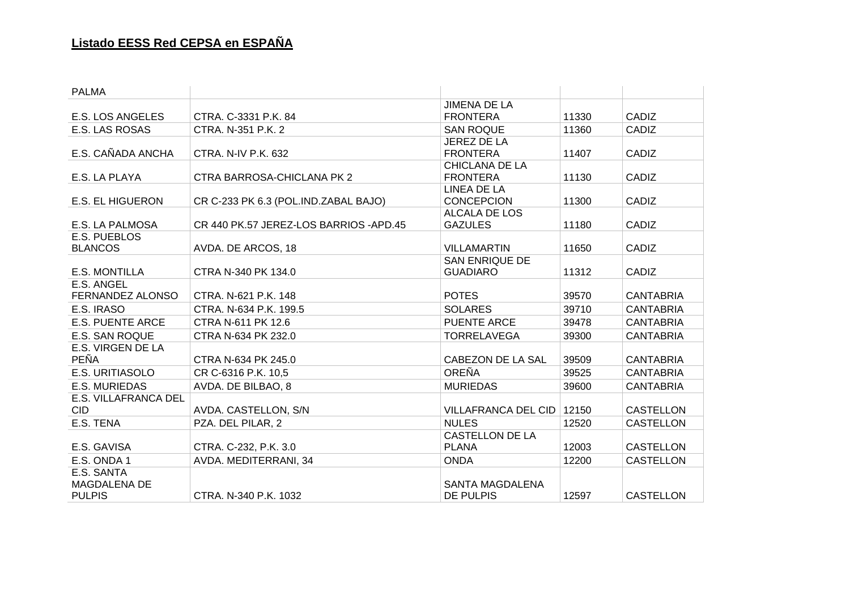| <b>PALMA</b>            |                                         |                        |       |                  |
|-------------------------|-----------------------------------------|------------------------|-------|------------------|
|                         |                                         | <b>JIMENA DE LA</b>    |       |                  |
| E.S. LOS ANGELES        | CTRA, C-3331 P.K. 84                    | <b>FRONTERA</b>        | 11330 | CADIZ            |
| <b>E.S. LAS ROSAS</b>   | CTRA. N-351 P.K. 2                      | <b>SAN ROQUE</b>       | 11360 | CADIZ            |
|                         |                                         | JEREZ DE LA            |       |                  |
| E.S. CAÑADA ANCHA       | <b>CTRA. N-IV P.K. 632</b>              | <b>FRONTERA</b>        | 11407 | CADIZ            |
|                         |                                         | CHICLANA DE LA         |       |                  |
| E.S. LA PLAYA           | CTRA BARROSA-CHICLANA PK 2              | <b>FRONTERA</b>        | 11130 | CADIZ            |
|                         |                                         | LINEA DE LA            |       |                  |
| <b>E.S. EL HIGUERON</b> | CR C-233 PK 6.3 (POL.IND.ZABAL BAJO)    | <b>CONCEPCION</b>      | 11300 | CADIZ            |
|                         |                                         | ALCALA DE LOS          |       |                  |
| E.S. LA PALMOSA         | CR 440 PK.57 JEREZ-LOS BARRIOS - APD.45 | <b>GAZULES</b>         | 11180 | CADIZ            |
| E.S. PUEBLOS            |                                         |                        |       |                  |
| <b>BLANCOS</b>          | AVDA. DE ARCOS, 18                      | <b>VILLAMARTIN</b>     | 11650 | CADIZ            |
|                         |                                         | <b>SAN ENRIQUE DE</b>  |       |                  |
| <b>E.S. MONTILLA</b>    | CTRA N-340 PK 134.0                     | <b>GUADIARO</b>        | 11312 | CADIZ            |
| E.S. ANGEL              |                                         | <b>POTES</b>           |       |                  |
| FERNANDEZ ALONSO        | CTRA, N-621 P.K. 148                    |                        | 39570 | <b>CANTABRIA</b> |
| E.S. IRASO              | CTRA. N-634 P.K. 199.5                  | <b>SOLARES</b>         | 39710 | <b>CANTABRIA</b> |
| <b>E.S. PUENTE ARCE</b> | CTRA N-611 PK 12.6                      | PUENTE ARCE            | 39478 | <b>CANTABRIA</b> |
| <b>E.S. SAN ROQUE</b>   | CTRA N-634 PK 232.0                     | <b>TORRELAVEGA</b>     | 39300 | <b>CANTABRIA</b> |
| E.S. VIRGEN DE LA       |                                         |                        |       |                  |
| <b>PEÑA</b>             | CTRA N-634 PK 245.0                     | CABEZON DE LA SAL      | 39509 | <b>CANTABRIA</b> |
| E.S. URITIASOLO         | CR C-6316 P.K. 10,5                     | <b>OREÑA</b>           | 39525 | <b>CANTABRIA</b> |
| E.S. MURIEDAS           | AVDA. DE BILBAO, 8                      | <b>MURIEDAS</b>        | 39600 | <b>CANTABRIA</b> |
| E.S. VILLAFRANCA DEL    |                                         |                        |       |                  |
| <b>CID</b>              | AVDA. CASTELLON, S/N                    | VILLAFRANCA DEL CID    | 12150 | <b>CASTELLON</b> |
| E.S. TENA               | PZA. DEL PILAR, 2                       | <b>NULES</b>           | 12520 | <b>CASTELLON</b> |
|                         |                                         | <b>CASTELLON DE LA</b> |       |                  |
| E.S. GAVISA             | CTRA. C-232, P.K. 3.0                   | <b>PLANA</b>           | 12003 | <b>CASTELLON</b> |
| E.S. ONDA 1             | AVDA. MEDITERRANI, 34                   | <b>ONDA</b>            | 12200 | <b>CASTELLON</b> |
| E.S. SANTA              |                                         |                        |       |                  |
| <b>MAGDALENA DE</b>     |                                         | <b>SANTA MAGDALENA</b> |       |                  |
| <b>PULPIS</b>           | CTRA, N-340 P.K. 1032                   | <b>DE PULPIS</b>       | 12597 | <b>CASTELLON</b> |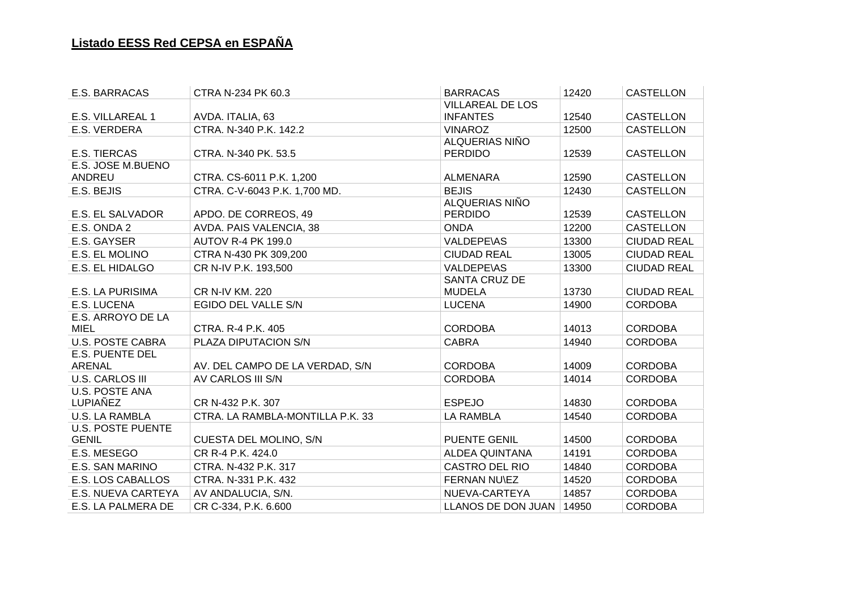| E.S. BARRACAS            | CTRA N-234 PK 60.3               | <b>BARRACAS</b>            | 12420 | <b>CASTELLON</b>   |
|--------------------------|----------------------------------|----------------------------|-------|--------------------|
|                          |                                  | <b>VILLAREAL DE LOS</b>    |       |                    |
| E.S. VILLAREAL 1         | AVDA. ITALIA, 63                 | <b>INFANTES</b>            | 12540 | <b>CASTELLON</b>   |
| E.S. VERDERA             | CTRA. N-340 P.K. 142.2           | <b>VINAROZ</b>             | 12500 | <b>CASTELLON</b>   |
|                          |                                  | ALQUERIAS NIÑO             |       |                    |
| <b>E.S. TIERCAS</b>      | CTRA. N-340 PK. 53.5             | <b>PERDIDO</b>             | 12539 | <b>CASTELLON</b>   |
| E.S. JOSE M.BUENO        |                                  |                            |       |                    |
| ANDREU                   | CTRA. CS-6011 P.K. 1,200         | <b>ALMENARA</b>            | 12590 | <b>CASTELLON</b>   |
| E.S. BEJIS               | CTRA. C-V-6043 P.K. 1,700 MD.    | <b>BEJIS</b>               | 12430 | <b>CASTELLON</b>   |
|                          |                                  | ALQUERIAS NIÑO             |       |                    |
| E.S. EL SALVADOR         | APDO. DE CORREOS, 49             | <b>PERDIDO</b>             | 12539 | <b>CASTELLON</b>   |
| E.S. ONDA 2              | AVDA. PAIS VALENCIA, 38          | <b>ONDA</b>                | 12200 | <b>CASTELLON</b>   |
| E.S. GAYSER              | <b>AUTOV R-4 PK 199.0</b>        | <b>VALDEPE\AS</b>          | 13300 | <b>CIUDAD REAL</b> |
| E.S. EL MOLINO           | CTRA N-430 PK 309,200            | <b>CIUDAD REAL</b>         | 13005 | <b>CIUDAD REAL</b> |
| E.S. EL HIDALGO          | CR N-IV P.K. 193,500             | <b>VALDEPE\AS</b>          | 13300 | <b>CIUDAD REAL</b> |
|                          |                                  | <b>SANTA CRUZ DE</b>       |       |                    |
| E.S. LA PURISIMA         | <b>CR N-IV KM. 220</b>           | <b>MUDELA</b>              | 13730 | <b>CIUDAD REAL</b> |
| <b>E.S. LUCENA</b>       | EGIDO DEL VALLE S/N              | <b>LUCENA</b>              | 14900 | <b>CORDOBA</b>     |
| E.S. ARROYO DE LA        |                                  |                            |       |                    |
| <b>MIEL</b>              | <b>CTRA. R-4 P.K. 405</b>        | <b>CORDOBA</b>             | 14013 | <b>CORDOBA</b>     |
| <b>U.S. POSTE CABRA</b>  | PLAZA DIPUTACION S/N             | <b>CABRA</b>               | 14940 | <b>CORDOBA</b>     |
| <b>E.S. PUENTE DEL</b>   |                                  |                            |       |                    |
| <b>ARENAL</b>            | AV. DEL CAMPO DE LA VERDAD, S/N  | <b>CORDOBA</b>             | 14009 | <b>CORDOBA</b>     |
| <b>U.S. CARLOS III</b>   | AV CARLOS III S/N                | <b>CORDOBA</b>             | 14014 | <b>CORDOBA</b>     |
| <b>U.S. POSTE ANA</b>    |                                  |                            |       |                    |
| LUPIAÑEZ                 | CR N-432 P.K. 307                | <b>ESPEJO</b>              | 14830 | <b>CORDOBA</b>     |
| <b>U.S. LA RAMBLA</b>    | CTRA. LA RAMBLA-MONTILLA P.K. 33 | <b>LA RAMBLA</b>           | 14540 | <b>CORDOBA</b>     |
| <b>U.S. POSTE PUENTE</b> |                                  |                            |       |                    |
| <b>GENIL</b>             | CUESTA DEL MOLINO, S/N           | <b>PUENTE GENIL</b>        | 14500 | <b>CORDOBA</b>     |
| E.S. MESEGO              | CR R-4 P.K. 424.0                | <b>ALDEA QUINTANA</b>      | 14191 | <b>CORDOBA</b>     |
| E.S. SAN MARINO          | CTRA. N-432 P.K. 317             | <b>CASTRO DEL RIO</b>      | 14840 | <b>CORDOBA</b>     |
| E.S. LOS CABALLOS        | CTRA. N-331 P.K. 432             | FERNAN NU\EZ               | 14520 | <b>CORDOBA</b>     |
| E.S. NUEVA CARTEYA       | AV ANDALUCIA, S/N.               | NUEVA-CARTEYA              | 14857 | <b>CORDOBA</b>     |
| E.S. LA PALMERA DE       | CR C-334, P.K. 6.600             | LLANOS DE DON JUAN   14950 |       | <b>CORDOBA</b>     |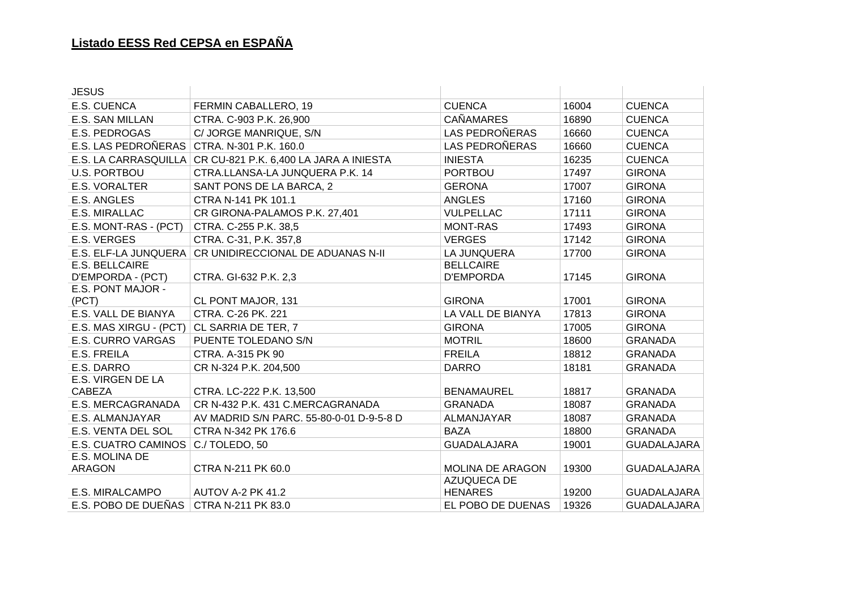| <b>JESUS</b>             |                                                               |                       |       |                    |
|--------------------------|---------------------------------------------------------------|-----------------------|-------|--------------------|
| E.S. CUENCA              | FERMIN CABALLERO, 19                                          | <b>CUENCA</b>         | 16004 | <b>CUENCA</b>      |
| E.S. SAN MILLAN          | CTRA. C-903 P.K. 26,900                                       | <b>CAÑAMARES</b>      | 16890 | <b>CUENCA</b>      |
| E.S. PEDROGAS            | C/ JORGE MANRIQUE, S/N                                        | <b>LAS PEDROÑERAS</b> | 16660 | <b>CUENCA</b>      |
| E.S. LAS PEDROÑERAS      | CTRA. N-301 P.K. 160.0                                        | LAS PEDROÑERAS        | 16660 | <b>CUENCA</b>      |
|                          | E.S. LA CARRASQUILLA   CR CU-821 P.K. 6,400 LA JARA A INIESTA | <b>INIESTA</b>        | 16235 | <b>CUENCA</b>      |
| <b>U.S. PORTBOU</b>      | CTRA.LLANSA-LA JUNQUERA P.K. 14                               | <b>PORTBOU</b>        | 17497 | <b>GIRONA</b>      |
| E.S. VORALTER            | SANT PONS DE LA BARCA, 2                                      | <b>GERONA</b>         | 17007 | <b>GIRONA</b>      |
| E.S. ANGLES              | CTRA N-141 PK 101.1                                           | <b>ANGLES</b>         | 17160 | <b>GIRONA</b>      |
| E.S. MIRALLAC            | CR GIRONA-PALAMOS P.K. 27,401                                 | <b>VULPELLAC</b>      | 17111 | <b>GIRONA</b>      |
| E.S. MONT-RAS - (PCT)    | CTRA. C-255 P.K. 38,5                                         | <b>MONT-RAS</b>       | 17493 | <b>GIRONA</b>      |
| E.S. VERGES              | CTRA. C-31, P.K. 357,8                                        | <b>VERGES</b>         | 17142 | <b>GIRONA</b>      |
| E.S. ELF-LA JUNQUERA     | CR UNIDIRECCIONAL DE ADUANAS N-II                             | LA JUNQUERA           | 17700 | <b>GIRONA</b>      |
| E.S. BELLCAIRE           |                                                               | <b>BELLCAIRE</b>      |       |                    |
| D'EMPORDA - (PCT)        | CTRA. GI-632 P.K. 2,3                                         | <b>D'EMPORDA</b>      | 17145 | <b>GIRONA</b>      |
| E.S. PONT MAJOR -        |                                                               |                       |       |                    |
| (PCT)                    | CL PONT MAJOR, 131                                            | <b>GIRONA</b>         | 17001 | <b>GIRONA</b>      |
| E.S. VALL DE BIANYA      | CTRA. C-26 PK. 221                                            | LA VALL DE BIANYA     | 17813 | <b>GIRONA</b>      |
| E.S. MAS XIRGU - (PCT)   | CL SARRIA DE TER, 7                                           | <b>GIRONA</b>         | 17005 | <b>GIRONA</b>      |
| <b>E.S. CURRO VARGAS</b> | PUENTE TOLEDANO S/N                                           | <b>MOTRIL</b>         | 18600 | <b>GRANADA</b>     |
| E.S. FREILA              | CTRA. A-315 PK 90                                             | <b>FREILA</b>         | 18812 | <b>GRANADA</b>     |
| E.S. DARRO               | CR N-324 P.K. 204,500                                         | <b>DARRO</b>          | 18181 | <b>GRANADA</b>     |
| E.S. VIRGEN DE LA        |                                                               |                       |       |                    |
| <b>CABEZA</b>            | CTRA. LC-222 P.K. 13,500                                      | <b>BENAMAUREL</b>     | 18817 | <b>GRANADA</b>     |
| E.S. MERCAGRANADA        | CR N-432 P.K. 431 C.MERCAGRANADA                              | <b>GRANADA</b>        | 18087 | <b>GRANADA</b>     |
| E.S. ALMANJAYAR          | AV MADRID S/N PARC. 55-80-0-01 D-9-5-8 D                      | ALMANJAYAR            | 18087 | <b>GRANADA</b>     |
| E.S. VENTA DEL SOL       | CTRA N-342 PK 176.6                                           | <b>BAZA</b>           | 18800 | <b>GRANADA</b>     |
| E.S. CUATRO CAMINOS      | C./TOLEDO, 50                                                 | <b>GUADALAJARA</b>    | 19001 | <b>GUADALAJARA</b> |
| E.S. MOLINA DE           |                                                               |                       |       |                    |
| ARAGON                   | CTRA N-211 PK 60.0                                            | MOLINA DE ARAGON      | 19300 | <b>GUADALAJARA</b> |
|                          |                                                               | <b>AZUQUECA DE</b>    |       |                    |
| E.S. MIRALCAMPO          | AUTOV A-2 PK 41.2                                             | <b>HENARES</b>        | 19200 | <b>GUADALAJARA</b> |
| E.S. POBO DE DUEÑAS      | CTRA N-211 PK 83.0                                            | EL POBO DE DUENAS     | 19326 | <b>GUADALAJARA</b> |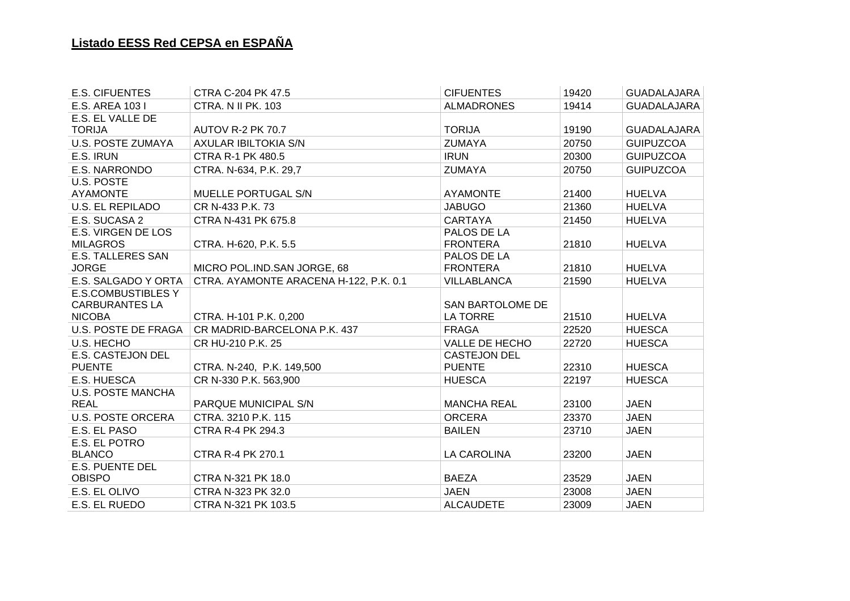| <b>E.S. CIFUENTES</b>          | CTRA C-204 PK 47.5                     | <b>CIFUENTES</b>        | 19420 | GUADALAJARA        |
|--------------------------------|----------------------------------------|-------------------------|-------|--------------------|
| E.S. AREA 103 I                | <b>CTRA. N II PK. 103</b>              | <b>ALMADRONES</b>       | 19414 | <b>GUADALAJARA</b> |
| E.S. EL VALLE DE               |                                        |                         |       |                    |
| <b>TORIJA</b>                  | <b>AUTOV R-2 PK 70.7</b>               | <b>TORIJA</b>           | 19190 | <b>GUADALAJARA</b> |
| U.S. POSTE ZUMAYA              | <b>AXULAR IBILTOKIA S/N</b>            | <b>ZUMAYA</b>           | 20750 | <b>GUIPUZCOA</b>   |
| E.S. IRUN                      | <b>CTRA R-1 PK 480.5</b>               | <b>IRUN</b>             | 20300 | <b>GUIPUZCOA</b>   |
| E.S. NARRONDO                  | CTRA. N-634, P.K. 29,7                 | <b>ZUMAYA</b>           | 20750 | <b>GUIPUZCOA</b>   |
| U.S. POSTE                     |                                        |                         |       |                    |
| <b>AYAMONTE</b>                | <b>MUELLE PORTUGAL S/N</b>             | <b>AYAMONTE</b>         | 21400 | <b>HUELVA</b>      |
| <b>U.S. EL REPILADO</b>        | CR N-433 P.K. 73                       | <b>JABUGO</b>           | 21360 | <b>HUELVA</b>      |
| E.S. SUCASA 2                  | CTRA N-431 PK 675.8                    | <b>CARTAYA</b>          | 21450 | <b>HUELVA</b>      |
| E.S. VIRGEN DE LOS             |                                        | PALOS DE LA             |       |                    |
| <b>MILAGROS</b>                | CTRA. H-620, P.K. 5.5                  | <b>FRONTERA</b>         | 21810 | <b>HUELVA</b>      |
| <b>E.S. TALLERES SAN</b>       |                                        | PALOS DE LA             |       |                    |
| <b>JORGE</b>                   | MICRO POL. IND. SAN JORGE, 68          | <b>FRONTERA</b>         | 21810 | <b>HUELVA</b>      |
| E.S. SALGADO Y ORTA            | CTRA. AYAMONTE ARACENA H-122, P.K. 0.1 | <b>VILLABLANCA</b>      | 21590 | <b>HUELVA</b>      |
| <b>E.S.COMBUSTIBLES Y</b>      |                                        |                         |       |                    |
| <b>CARBURANTES LA</b>          |                                        | <b>SAN BARTOLOME DE</b> |       |                    |
| <b>NICOBA</b>                  | CTRA. H-101 P.K. 0,200                 | LA TORRE                | 21510 | <b>HUELVA</b>      |
| U.S. POSTE DE FRAGA            | CR MADRID-BARCELONA P.K. 437           | <b>FRAGA</b>            | 22520 | <b>HUESCA</b>      |
| U.S. HECHO                     | CR HU-210 P.K. 25                      | VALLE DE HECHO          | 22720 | <b>HUESCA</b>      |
| <b>E.S. CASTEJON DEL</b>       |                                        | <b>CASTEJON DEL</b>     |       |                    |
| <b>PUENTE</b>                  | CTRA. N-240, P.K. 149,500              | <b>PUENTE</b>           | 22310 | <b>HUESCA</b>      |
| E.S. HUESCA                    | CR N-330 P.K. 563,900                  | <b>HUESCA</b>           | 22197 | <b>HUESCA</b>      |
| <b>U.S. POSTE MANCHA</b>       |                                        |                         |       |                    |
| <b>REAL</b>                    | PARQUE MUNICIPAL S/N                   | <b>MANCHA REAL</b>      | 23100 | <b>JAEN</b>        |
| <b>U.S. POSTE ORCERA</b>       | CTRA. 3210 P.K. 115                    | <b>ORCERA</b>           | 23370 | <b>JAEN</b>        |
| E.S. EL PASO                   | <b>CTRA R-4 PK 294.3</b>               | <b>BAILEN</b>           | 23710 | <b>JAEN</b>        |
| E.S. EL POTRO<br><b>BLANCO</b> | <b>CTRA R-4 PK 270.1</b>               | LA CAROLINA             | 23200 | <b>JAEN</b>        |
| E.S. PUENTE DEL                |                                        |                         |       |                    |
| <b>OBISPO</b>                  | CTRA N-321 PK 18.0                     | <b>BAEZA</b>            | 23529 | <b>JAEN</b>        |
| E.S. EL OLIVO                  | CTRA N-323 PK 32.0                     | <b>JAEN</b>             | 23008 | <b>JAEN</b>        |
| E.S. EL RUEDO                  | CTRA N-321 PK 103.5                    | <b>ALCAUDETE</b>        | 23009 | <b>JAEN</b>        |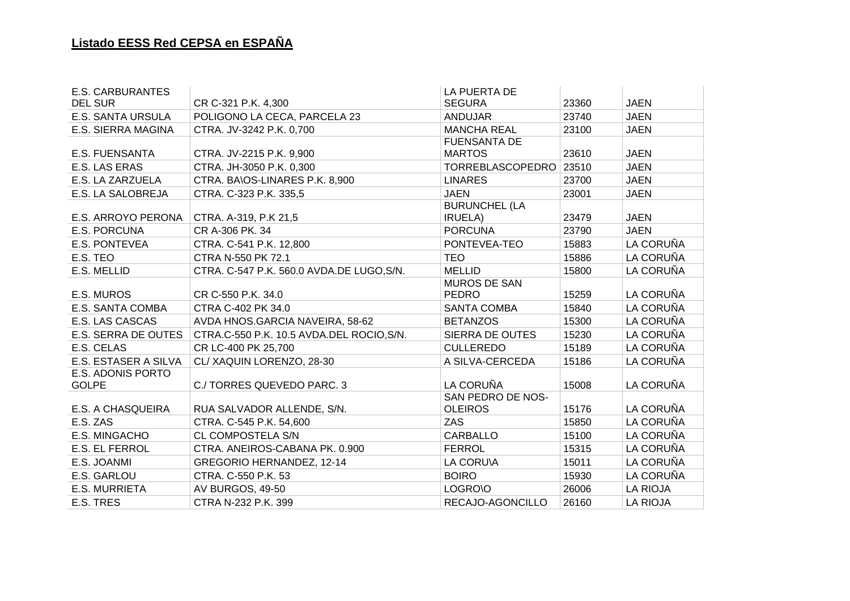| <b>E.S. CARBURANTES</b>  |                                           | <b>LA PUERTA DE</b>  |       |                 |
|--------------------------|-------------------------------------------|----------------------|-------|-----------------|
| <b>DEL SUR</b>           | CR C-321 P.K. 4,300                       | <b>SEGURA</b>        | 23360 | <b>JAEN</b>     |
| <b>E.S. SANTA URSULA</b> | POLIGONO LA CECA, PARCELA 23              | <b>ANDUJAR</b>       | 23740 | <b>JAEN</b>     |
| E.S. SIERRA MAGINA       | CTRA. JV-3242 P.K. 0,700                  | <b>MANCHA REAL</b>   | 23100 | <b>JAEN</b>     |
|                          |                                           | <b>FUENSANTA DE</b>  |       |                 |
| <b>E.S. FUENSANTA</b>    | CTRA. JV-2215 P.K. 9,900                  | <b>MARTOS</b>        | 23610 | <b>JAEN</b>     |
| E.S. LAS ERAS            | CTRA. JH-3050 P.K. 0,300                  | TORREBLASCOPEDRO     | 23510 | <b>JAEN</b>     |
| E.S. LA ZARZUELA         | CTRA. BA\OS-LINARES P.K. 8,900            | <b>LINARES</b>       | 23700 | <b>JAEN</b>     |
| E.S. LA SALOBREJA        | CTRA. C-323 P.K. 335,5                    | <b>JAEN</b>          | 23001 | <b>JAEN</b>     |
|                          |                                           | <b>BURUNCHEL (LA</b> |       |                 |
| E.S. ARROYO PERONA       | CTRA. A-319, P.K 21,5                     | <b>IRUELA</b> )      | 23479 | <b>JAEN</b>     |
| E.S. PORCUNA             | CR A-306 PK. 34                           | <b>PORCUNA</b>       | 23790 | <b>JAEN</b>     |
| <b>E.S. PONTEVEA</b>     | CTRA. C-541 P.K. 12,800                   | PONTEVEA-TEO         | 15883 | LA CORUÑA       |
| E.S. TEO                 | CTRA N-550 PK 72.1                        | <b>TEO</b>           | 15886 | LA CORUÑA       |
| E.S. MELLID              | CTRA. C-547 P.K. 560.0 AVDA.DE LUGO, S/N. | <b>MELLID</b>        | 15800 | LA CORUÑA       |
|                          |                                           | <b>MUROS DE SAN</b>  |       |                 |
| E.S. MUROS               | CR C-550 P.K. 34.0                        | <b>PEDRO</b>         | 15259 | LA CORUÑA       |
| E.S. SANTA COMBA         | CTRA C-402 PK 34.0                        | <b>SANTA COMBA</b>   | 15840 | LA CORUÑA       |
| E.S. LAS CASCAS          | AVDA HNOS.GARCIA NAVEIRA, 58-62           | <b>BETANZOS</b>      | 15300 | LA CORUÑA       |
| E.S. SERRA DE OUTES      | CTRA.C-550 P.K. 10.5 AVDA.DEL ROCIO, S/N. | SIERRA DE OUTES      | 15230 | LA CORUÑA       |
| E.S. CELAS               | CR LC-400 PK 25,700                       | <b>CULLEREDO</b>     | 15189 | LA CORUÑA       |
| E.S. ESTASER A SILVA     | CL/XAQUIN LORENZO, 28-30                  | A SILVA-CERCEDA      | 15186 | LA CORUÑA       |
| E.S. ADONIS PORTO        |                                           |                      |       |                 |
| <b>GOLPE</b>             | C./ TORRES QUEVEDO PARC. 3                | LA CORUÑA            | 15008 | LA CORUÑA       |
|                          |                                           | SAN PEDRO DE NOS-    |       |                 |
| E.S. A CHASQUEIRA        | RUA SALVADOR ALLENDE, S/N.                | <b>OLEIROS</b>       | 15176 | LA CORUÑA       |
| E.S. ZAS                 | CTRA. C-545 P.K. 54,600                   | <b>ZAS</b>           | 15850 | LA CORUÑA       |
| E.S. MINGACHO            | CL COMPOSTELA S/N                         | CARBALLO             | 15100 | LA CORUÑA       |
| <b>E.S. EL FERROL</b>    | CTRA. ANEIROS-CABANA PK. 0.900            | <b>FERROL</b>        | 15315 | LA CORUÑA       |
| E.S. JOANMI              | GREGORIO HERNANDEZ, 12-14                 | LA CORU\A            | 15011 | LA CORUÑA       |
| E.S. GARLOU              | CTRA. C-550 P.K. 53                       | <b>BOIRO</b>         | 15930 | LA CORUÑA       |
| <b>E.S. MURRIETA</b>     | AV BURGOS, 49-50                          | LOGRO\O              | 26006 | <b>LA RIOJA</b> |
| E.S. TRES                | CTRA N-232 P.K. 399                       | RECAJO-AGONCILLO     | 26160 | <b>LA RIOJA</b> |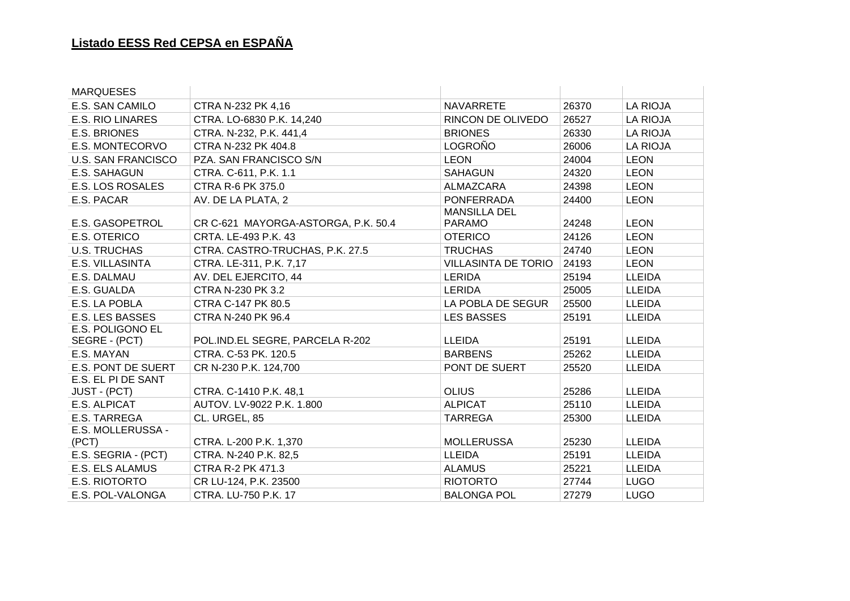| <b>MARQUESES</b>           |                                     |                                      |       |                 |
|----------------------------|-------------------------------------|--------------------------------------|-------|-----------------|
| E.S. SAN CAMILO            | CTRA N-232 PK 4,16                  | <b>NAVARRETE</b>                     | 26370 | <b>LA RIOJA</b> |
| <b>E.S. RIO LINARES</b>    | CTRA. LO-6830 P.K. 14,240           | RINCON DE OLIVEDO                    | 26527 | <b>LA RIOJA</b> |
| <b>E.S. BRIONES</b>        | CTRA. N-232, P.K. 441,4             | <b>BRIONES</b>                       | 26330 | <b>LA RIOJA</b> |
| E.S. MONTECORVO            | CTRA N-232 PK 404.8                 | <b>LOGROÑO</b>                       | 26006 | <b>LA RIOJA</b> |
| <b>U.S. SAN FRANCISCO</b>  | PZA. SAN FRANCISCO S/N              | <b>LEON</b>                          | 24004 | <b>LEON</b>     |
| E.S. SAHAGUN               | CTRA. C-611, P.K. 1.1               | <b>SAHAGUN</b>                       | 24320 | <b>LEON</b>     |
| <b>E.S. LOS ROSALES</b>    | CTRA R-6 PK 375.0                   | ALMAZCARA                            | 24398 | <b>LEON</b>     |
| E.S. PACAR                 | AV. DE LA PLATA, 2                  | <b>PONFERRADA</b>                    | 24400 | <b>LEON</b>     |
| <b>E.S. GASOPETROL</b>     | CR C-621 MAYORGA-ASTORGA, P.K. 50.4 | <b>MANSILLA DEL</b><br><b>PARAMO</b> | 24248 | <b>LEON</b>     |
| E.S. OTERICO               | CRTA. LE-493 P.K. 43                | <b>OTERICO</b>                       | 24126 | <b>LEON</b>     |
| <b>U.S. TRUCHAS</b>        | CTRA. CASTRO-TRUCHAS, P.K. 27.5     | <b>TRUCHAS</b>                       | 24740 | <b>LEON</b>     |
| E.S. VILLASINTA            | CTRA. LE-311, P.K. 7,17             | <b>VILLASINTA DE TORIO</b>           | 24193 | <b>LEON</b>     |
| E.S. DALMAU                | AV. DEL EJERCITO, 44                | <b>LERIDA</b>                        | 25194 | <b>LLEIDA</b>   |
| E.S. GUALDA                | CTRA N-230 PK 3.2                   | <b>LERIDA</b>                        | 25005 | <b>LLEIDA</b>   |
| E.S. LA POBLA              | CTRA C-147 PK 80.5                  | LA POBLA DE SEGUR                    | 25500 | <b>LLEIDA</b>   |
| <b>E.S. LES BASSES</b>     | CTRA N-240 PK 96.4                  | <b>LES BASSES</b>                    | 25191 | <b>LLEIDA</b>   |
| E.S. POLIGONO EL           |                                     |                                      |       |                 |
| SEGRE - (PCT)              | POL.IND.EL SEGRE, PARCELA R-202     | <b>LLEIDA</b>                        | 25191 | <b>LLEIDA</b>   |
| E.S. MAYAN                 | CTRA. C-53 PK. 120.5                | <b>BARBENS</b>                       | 25262 | <b>LLEIDA</b>   |
| <b>E.S. PONT DE SUERT</b>  | CR N-230 P.K. 124,700               | PONT DE SUERT                        | 25520 | <b>LLEIDA</b>   |
| E.S. EL PI DE SANT         |                                     |                                      |       |                 |
| <b>JUST - (PCT)</b>        | CTRA. C-1410 P.K. 48,1              | <b>OLIUS</b>                         | 25286 | <b>LLEIDA</b>   |
| E.S. ALPICAT               | AUTOV. LV-9022 P.K. 1.800           | <b>ALPICAT</b>                       | 25110 | <b>LLEIDA</b>   |
| E.S. TARREGA               | CL. URGEL, 85                       | <b>TARREGA</b>                       | 25300 | <b>LLEIDA</b>   |
| E.S. MOLLERUSSA -<br>(PCT) | CTRA. L-200 P.K. 1,370              | <b>MOLLERUSSA</b>                    | 25230 | <b>LLEIDA</b>   |
| E.S. SEGRIA - (PCT)        | CTRA. N-240 P.K. 82,5               | <b>LLEIDA</b>                        | 25191 | <b>LLEIDA</b>   |
| E.S. ELS ALAMUS            | CTRA R-2 PK 471.3                   | <b>ALAMUS</b>                        | 25221 | <b>LLEIDA</b>   |
| E.S. RIOTORTO              | CR LU-124, P.K. 23500               | <b>RIOTORTO</b>                      | 27744 | <b>LUGO</b>     |
| E.S. POL-VALONGA           | CTRA. LU-750 P.K. 17                | <b>BALONGA POL</b>                   | 27279 | <b>LUGO</b>     |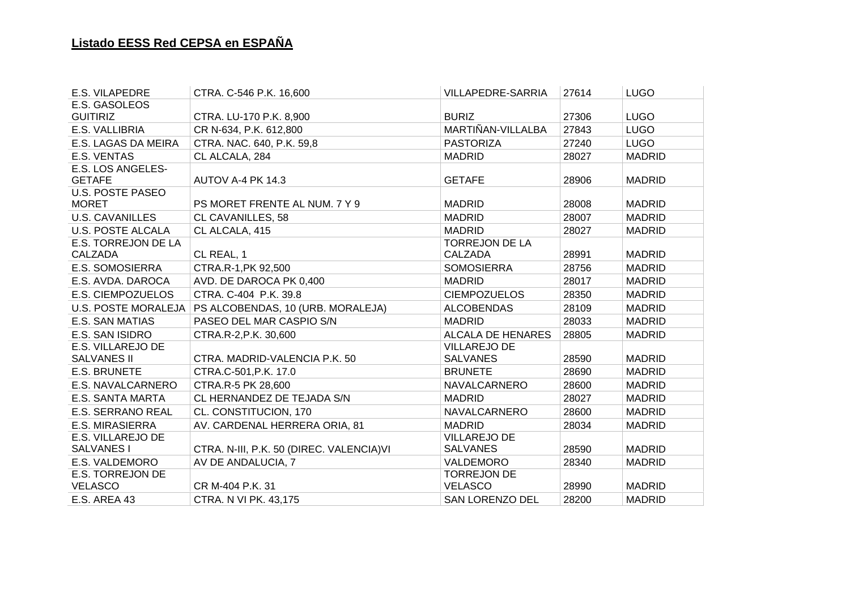| E.S. VILAPEDRE             | CTRA. C-546 P.K. 16,600                   | VILLAPEDRE-SARRIA        | 27614 | <b>LUGO</b>   |
|----------------------------|-------------------------------------------|--------------------------|-------|---------------|
| E.S. GASOLEOS              |                                           |                          |       |               |
| <b>GUITIRIZ</b>            | CTRA. LU-170 P.K. 8,900                   | <b>BURIZ</b>             | 27306 | <b>LUGO</b>   |
| E.S. VALLIBRIA             | CR N-634, P.K. 612,800                    | MARTIÑAN-VILLALBA        | 27843 | <b>LUGO</b>   |
| E.S. LAGAS DA MEIRA        | CTRA. NAC. 640, P.K. 59,8                 | <b>PASTORIZA</b>         | 27240 | <b>LUGO</b>   |
| E.S. VENTAS                | CL ALCALA, 284                            | <b>MADRID</b>            | 28027 | <b>MADRID</b> |
| E.S. LOS ANGELES-          |                                           |                          |       |               |
| <b>GETAFE</b>              | AUTOV A-4 PK 14.3                         | <b>GETAFE</b>            | 28906 | <b>MADRID</b> |
| <b>U.S. POSTE PASEO</b>    |                                           |                          |       |               |
| <b>MORET</b>               | PS MORET FRENTE AL NUM. 7 Y 9             | <b>MADRID</b>            | 28008 | <b>MADRID</b> |
| <b>U.S. CAVANILLES</b>     | <b>CL CAVANILLES, 58</b>                  | <b>MADRID</b>            | 28007 | <b>MADRID</b> |
| <b>U.S. POSTE ALCALA</b>   | CL ALCALA, 415                            | <b>MADRID</b>            | 28027 | <b>MADRID</b> |
| E.S. TORREJON DE LA        |                                           | <b>TORREJON DE LA</b>    |       |               |
| CALZADA                    | CL REAL, 1                                | <b>CALZADA</b>           | 28991 | <b>MADRID</b> |
| <b>E.S. SOMOSIERRA</b>     | CTRA.R-1, PK 92,500                       | <b>SOMOSIERRA</b>        | 28756 | <b>MADRID</b> |
| E.S. AVDA. DAROCA          | AVD. DE DAROCA PK 0,400                   | <b>MADRID</b>            | 28017 | <b>MADRID</b> |
| E.S. CIEMPOZUELOS          | CTRA. C-404 P.K. 39.8                     | <b>CIEMPOZUELOS</b>      | 28350 | <b>MADRID</b> |
| <b>U.S. POSTE MORALEJA</b> | PS ALCOBENDAS, 10 (URB. MORALEJA)         | <b>ALCOBENDAS</b>        | 28109 | <b>MADRID</b> |
| <b>E.S. SAN MATIAS</b>     | PASEO DEL MAR CASPIO S/N                  | <b>MADRID</b>            | 28033 | <b>MADRID</b> |
| E.S. SAN ISIDRO            | CTRA.R-2, P.K. 30,600                     | <b>ALCALA DE HENARES</b> | 28805 | <b>MADRID</b> |
| E.S. VILLAREJO DE          |                                           | <b>VILLAREJO DE</b>      |       |               |
| <b>SALVANES II</b>         | CTRA. MADRID-VALENCIA P.K. 50             | <b>SALVANES</b>          | 28590 | <b>MADRID</b> |
| <b>E.S. BRUNETE</b>        | CTRA.C-501, P.K. 17.0                     | <b>BRUNETE</b>           | 28690 | <b>MADRID</b> |
| E.S. NAVALCARNERO          | CTRA.R-5 PK 28,600                        | NAVALCARNERO             | 28600 | <b>MADRID</b> |
| <b>E.S. SANTA MARTA</b>    | CL HERNANDEZ DE TEJADA S/N                | <b>MADRID</b>            | 28027 | <b>MADRID</b> |
| <b>E.S. SERRANO REAL</b>   | CL. CONSTITUCION, 170                     | NAVALCARNERO             | 28600 | <b>MADRID</b> |
| <b>E.S. MIRASIERRA</b>     | AV. CARDENAL HERRERA ORIA, 81             | <b>MADRID</b>            | 28034 | <b>MADRID</b> |
| E.S. VILLAREJO DE          |                                           | <b>VILLAREJO DE</b>      |       |               |
| <b>SALVANES I</b>          | CTRA. N-III, P.K. 50 (DIREC. VALENCIA) VI | <b>SALVANES</b>          | 28590 | <b>MADRID</b> |
| E.S. VALDEMORO             | AV DE ANDALUCIA, 7                        | VALDEMORO                | 28340 | <b>MADRID</b> |
| <b>E.S. TORREJON DE</b>    |                                           | <b>TORREJON DE</b>       |       |               |
| <b>VELASCO</b>             | CR M-404 P.K. 31                          | <b>VELASCO</b>           | 28990 | <b>MADRID</b> |
| E.S. AREA 43               | CTRA. N VI PK. 43,175                     | <b>SAN LORENZO DEL</b>   | 28200 | <b>MADRID</b> |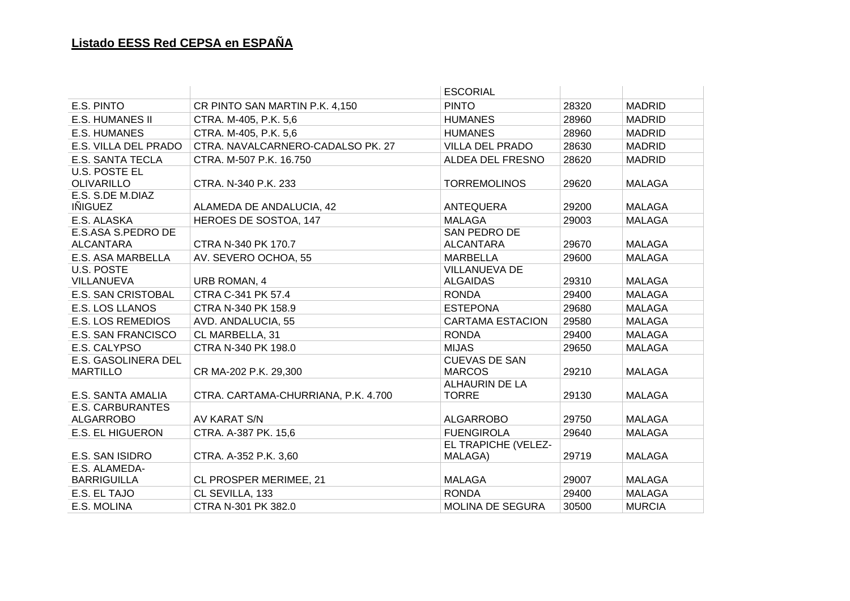|                                             |                                     | <b>ESCORIAL</b>                         |       |               |
|---------------------------------------------|-------------------------------------|-----------------------------------------|-------|---------------|
| E.S. PINTO                                  | CR PINTO SAN MARTIN P.K. 4,150      | <b>PINTO</b>                            | 28320 | <b>MADRID</b> |
| <b>E.S. HUMANES II</b>                      | CTRA. M-405, P.K. 5,6               | <b>HUMANES</b>                          | 28960 | <b>MADRID</b> |
| <b>E.S. HUMANES</b>                         | CTRA. M-405, P.K. 5,6               | <b>HUMANES</b>                          | 28960 | <b>MADRID</b> |
| E.S. VILLA DEL PRADO                        | CTRA. NAVALCARNERO-CADALSO PK. 27   | VILLA DEL PRADO                         | 28630 | <b>MADRID</b> |
| <b>E.S. SANTA TECLA</b>                     | CTRA. M-507 P.K. 16.750             | ALDEA DEL FRESNO                        | 28620 | <b>MADRID</b> |
| <b>U.S. POSTE EL</b><br><b>OLIVARILLO</b>   | CTRA. N-340 P.K. 233                | <b>TORREMOLINOS</b>                     | 29620 | <b>MALAGA</b> |
| E.S. S.DE M.DIAZ<br><b>IÑIGUEZ</b>          | ALAMEDA DE ANDALUCIA, 42            | ANTEQUERA                               | 29200 | <b>MALAGA</b> |
| E.S. ALASKA                                 | HEROES DE SOSTOA, 147               | <b>MALAGA</b>                           | 29003 | <b>MALAGA</b> |
| E.S.ASA S.PEDRO DE<br><b>ALCANTARA</b>      | CTRA N-340 PK 170.7                 | SAN PEDRO DE<br><b>ALCANTARA</b>        | 29670 | <b>MALAGA</b> |
| E.S. ASA MARBELLA                           | AV. SEVERO OCHOA, 55                | <b>MARBELLA</b>                         | 29600 | <b>MALAGA</b> |
| U.S. POSTE<br>VILLANUEVA                    | <b>URB ROMAN, 4</b>                 | <b>VILLANUEVA DE</b><br><b>ALGAIDAS</b> | 29310 | <b>MALAGA</b> |
| E.S. SAN CRISTOBAL                          | CTRA C-341 PK 57.4                  | <b>RONDA</b>                            | 29400 | <b>MALAGA</b> |
| E.S. LOS LLANOS                             | CTRA N-340 PK 158.9                 | <b>ESTEPONA</b>                         | 29680 | <b>MALAGA</b> |
| <b>E.S. LOS REMEDIOS</b>                    | AVD. ANDALUCIA, 55                  | <b>CARTAMA ESTACION</b>                 | 29580 | <b>MALAGA</b> |
| <b>E.S. SAN FRANCISCO</b>                   | CL MARBELLA, 31                     | <b>RONDA</b>                            | 29400 | <b>MALAGA</b> |
| E.S. CALYPSO                                | CTRA N-340 PK 198.0                 | <b>MIJAS</b>                            | 29650 | <b>MALAGA</b> |
| E.S. GASOLINERA DEL<br><b>MARTILLO</b>      | CR MA-202 P.K. 29,300               | <b>CUEVAS DE SAN</b><br><b>MARCOS</b>   | 29210 | <b>MALAGA</b> |
| E.S. SANTA AMALIA                           | CTRA. CARTAMA-CHURRIANA, P.K. 4.700 | <b>ALHAURIN DE LA</b><br><b>TORRE</b>   | 29130 | <b>MALAGA</b> |
| <b>E.S. CARBURANTES</b><br><b>ALGARROBO</b> | AV KARAT S/N                        | <b>ALGARROBO</b>                        | 29750 | <b>MALAGA</b> |
| <b>E.S. EL HIGUERON</b>                     | CTRA. A-387 PK. 15,6                | <b>FUENGIROLA</b>                       | 29640 | <b>MALAGA</b> |
| E.S. SAN ISIDRO                             | CTRA. A-352 P.K. 3,60               | EL TRAPICHE (VELEZ-<br>MALAGA)          | 29719 | <b>MALAGA</b> |
| E.S. ALAMEDA-<br><b>BARRIGUILLA</b>         | CL PROSPER MERIMEE, 21              | <b>MALAGA</b>                           | 29007 | <b>MALAGA</b> |
| E.S. EL TAJO                                | CL SEVILLA, 133                     | <b>RONDA</b>                            | 29400 | <b>MALAGA</b> |
| E.S. MOLINA                                 | CTRA N-301 PK 382.0                 | MOLINA DE SEGURA                        | 30500 | <b>MURCIA</b> |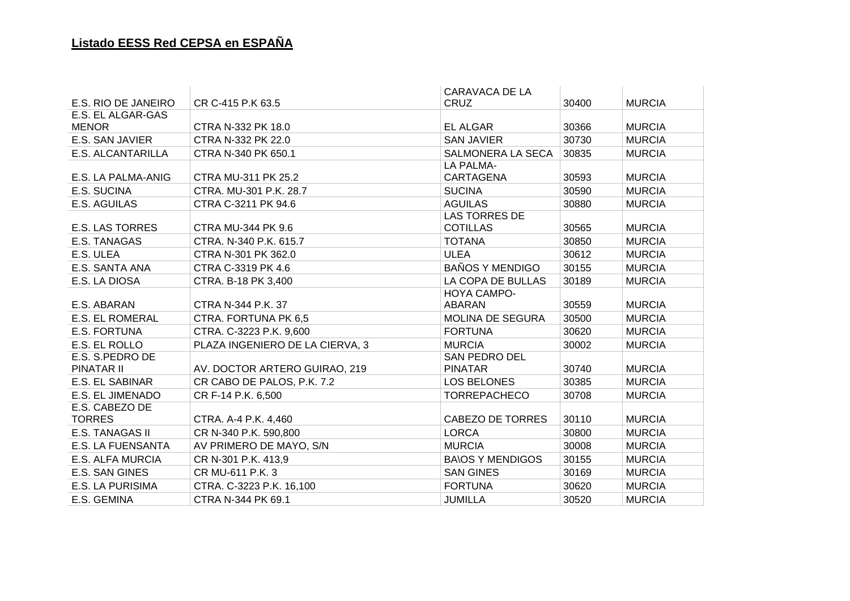|                          |                                 | <b>CARAVACA DE LA</b>   |       |               |
|--------------------------|---------------------------------|-------------------------|-------|---------------|
| E.S. RIO DE JANEIRO      | CR C-415 P.K 63.5               | <b>CRUZ</b>             | 30400 | <b>MURCIA</b> |
| E.S. EL ALGAR-GAS        |                                 |                         |       |               |
| <b>MENOR</b>             | CTRA N-332 PK 18.0              | EL ALGAR                | 30366 | <b>MURCIA</b> |
| E.S. SAN JAVIER          | CTRA N-332 PK 22.0              | <b>SAN JAVIER</b>       | 30730 | <b>MURCIA</b> |
| <b>E.S. ALCANTARILLA</b> | CTRA N-340 PK 650.1             | SALMONERA LA SECA       | 30835 | <b>MURCIA</b> |
|                          |                                 | LA PALMA-               |       |               |
| E.S. LA PALMA-ANIG       | CTRA MU-311 PK 25.2             | CARTAGENA               | 30593 | <b>MURCIA</b> |
| E.S. SUCINA              | CTRA. MU-301 P.K. 28.7          | <b>SUCINA</b>           | 30590 | <b>MURCIA</b> |
| E.S. AGUILAS             | CTRA C-3211 PK 94.6             | <b>AGUILAS</b>          | 30880 | <b>MURCIA</b> |
|                          |                                 | <b>LAS TORRES DE</b>    |       |               |
| <b>E.S. LAS TORRES</b>   | <b>CTRA MU-344 PK 9.6</b>       | <b>COTILLAS</b>         | 30565 | <b>MURCIA</b> |
| E.S. TANAGAS             | CTRA. N-340 P.K. 615.7          | <b>TOTANA</b>           | 30850 | <b>MURCIA</b> |
| E.S. ULEA                | CTRA N-301 PK 362.0             | <b>ULEA</b>             | 30612 | <b>MURCIA</b> |
| E.S. SANTA ANA           | CTRA C-3319 PK 4.6              | <b>BAÑOS Y MENDIGO</b>  | 30155 | <b>MURCIA</b> |
| E.S. LA DIOSA            | CTRA. B-18 PK 3,400             | LA COPA DE BULLAS       | 30189 | <b>MURCIA</b> |
|                          |                                 | HOYA CAMPO-             |       |               |
| E.S. ABARAN              | CTRA N-344 P.K. 37              | ABARAN                  | 30559 | <b>MURCIA</b> |
| <b>E.S. EL ROMERAL</b>   | CTRA. FORTUNA PK 6,5            | <b>MOLINA DE SEGURA</b> | 30500 | <b>MURCIA</b> |
| E.S. FORTUNA             | CTRA. C-3223 P.K. 9,600         | <b>FORTUNA</b>          | 30620 | <b>MURCIA</b> |
| E.S. EL ROLLO            | PLAZA INGENIERO DE LA CIERVA, 3 | <b>MURCIA</b>           | 30002 | <b>MURCIA</b> |
| E.S. S.PEDRO DE          |                                 | <b>SAN PEDRO DEL</b>    |       |               |
| PINATAR II               | AV. DOCTOR ARTERO GUIRAO, 219   | <b>PINATAR</b>          | 30740 | <b>MURCIA</b> |
| <b>E.S. EL SABINAR</b>   | CR CABO DE PALOS, P.K. 7.2      | LOS BELONES             | 30385 | <b>MURCIA</b> |
| E.S. EL JIMENADO         | CR F-14 P.K. 6,500              | <b>TORREPACHECO</b>     | 30708 | <b>MURCIA</b> |
| E.S. CABEZO DE           |                                 |                         |       |               |
| <b>TORRES</b>            | CTRA. A-4 P.K. 4,460            | <b>CABEZO DE TORRES</b> | 30110 | <b>MURCIA</b> |
| E.S. TANAGAS II          | CR N-340 P.K. 590,800           | <b>LORCA</b>            | 30800 | <b>MURCIA</b> |
| <b>E.S. LA FUENSANTA</b> | AV PRIMERO DE MAYO, S/N         | <b>MURCIA</b>           | 30008 | <b>MURCIA</b> |
| <b>E.S. ALFA MURCIA</b>  | CR N-301 P.K. 413,9             | <b>BA\OS Y MENDIGOS</b> | 30155 | <b>MURCIA</b> |
| E.S. SAN GINES           | CR MU-611 P.K. 3                | <b>SAN GINES</b>        | 30169 | <b>MURCIA</b> |
| E.S. LA PURISIMA         | CTRA. C-3223 P.K. 16,100        | <b>FORTUNA</b>          | 30620 | <b>MURCIA</b> |
| E.S. GEMINA              | CTRA N-344 PK 69.1              | <b>JUMILLA</b>          | 30520 | <b>MURCIA</b> |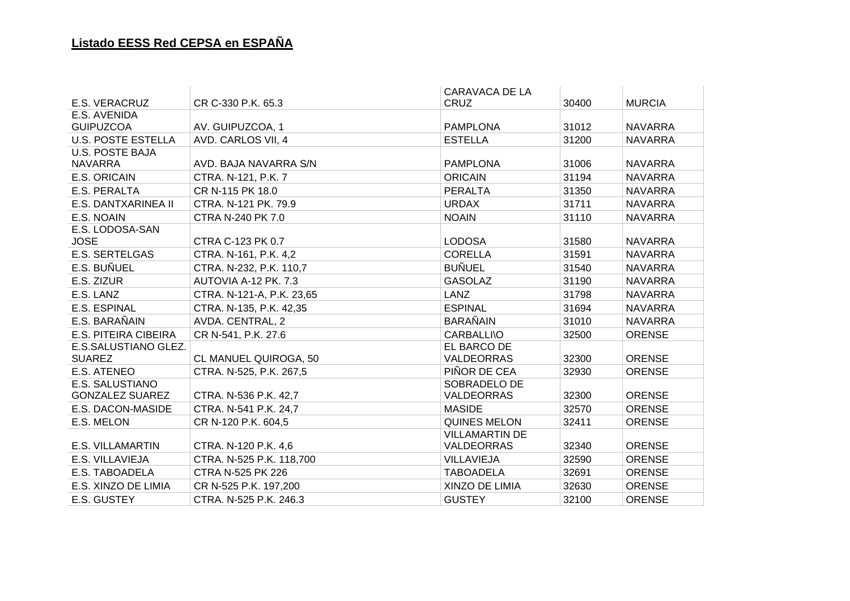|                           |                           | CARAVACA DE LA        |       |                |
|---------------------------|---------------------------|-----------------------|-------|----------------|
| E.S. VERACRUZ             | CR C-330 P.K. 65.3        | <b>CRUZ</b>           | 30400 | <b>MURCIA</b>  |
| E.S. AVENIDA              |                           |                       |       |                |
| <b>GUIPUZCOA</b>          | AV. GUIPUZCOA, 1          | <b>PAMPLONA</b>       | 31012 | <b>NAVARRA</b> |
| <b>U.S. POSTE ESTELLA</b> | AVD. CARLOS VII, 4        | <b>ESTELLA</b>        | 31200 | <b>NAVARRA</b> |
| <b>U.S. POSTE BAJA</b>    |                           |                       |       |                |
| <b>NAVARRA</b>            | AVD. BAJA NAVARRA S/N     | <b>PAMPLONA</b>       | 31006 | <b>NAVARRA</b> |
| E.S. ORICAIN              | CTRA. N-121, P.K. 7       | <b>ORICAIN</b>        | 31194 | <b>NAVARRA</b> |
| E.S. PERALTA              | CR N-115 PK 18.0          | <b>PERALTA</b>        | 31350 | <b>NAVARRA</b> |
| E.S. DANTXARINEA II       | CTRA. N-121 PK. 79.9      | <b>URDAX</b>          | 31711 | <b>NAVARRA</b> |
| E.S. NOAIN                | CTRA N-240 PK 7.0         | <b>NOAIN</b>          | 31110 | <b>NAVARRA</b> |
| E.S. LODOSA-SAN           |                           |                       |       |                |
| <b>JOSE</b>               | CTRA C-123 PK 0.7         | <b>LODOSA</b>         | 31580 | <b>NAVARRA</b> |
| <b>E.S. SERTELGAS</b>     | CTRA. N-161, P.K. 4,2     | <b>CORELLA</b>        | 31591 | <b>NAVARRA</b> |
| E.S. BUÑUEL               | CTRA. N-232, P.K. 110,7   | <b>BUÑUEL</b>         | 31540 | <b>NAVARRA</b> |
| E.S. ZIZUR                | AUTOVIA A-12 PK. 7.3      | <b>GASOLAZ</b>        | 31190 | <b>NAVARRA</b> |
| E.S. LANZ                 | CTRA. N-121-A, P.K. 23,65 | <b>LANZ</b>           | 31798 | <b>NAVARRA</b> |
| <b>E.S. ESPINAL</b>       | CTRA. N-135, P.K. 42,35   | <b>ESPINAL</b>        | 31694 | <b>NAVARRA</b> |
| E.S. BARAÑAIN             | AVDA. CENTRAL, 2          | <b>BARAÑAIN</b>       | 31010 | <b>NAVARRA</b> |
| E.S. PITEIRA CIBEIRA      | CR N-541, P.K. 27.6       | <b>CARBALLI\O</b>     | 32500 | <b>ORENSE</b>  |
| E.S.SALUSTIANO GLEZ.      |                           | EL BARCO DE           |       |                |
| <b>SUAREZ</b>             | CL MANUEL QUIROGA, 50     | <b>VALDEORRAS</b>     | 32300 | <b>ORENSE</b>  |
| E.S. ATENEO               | CTRA. N-525, P.K. 267,5   | PIÑOR DE CEA          | 32930 | <b>ORENSE</b>  |
| E.S. SALUSTIANO           |                           | SOBRADELO DE          |       |                |
| <b>GONZALEZ SUAREZ</b>    | CTRA. N-536 P.K. 42,7     | <b>VALDEORRAS</b>     | 32300 | <b>ORENSE</b>  |
| E.S. DACON-MASIDE         | CTRA. N-541 P.K. 24,7     | <b>MASIDE</b>         | 32570 | <b>ORENSE</b>  |
| E.S. MELON                | CR N-120 P.K. 604,5       | <b>QUINES MELON</b>   | 32411 | <b>ORENSE</b>  |
|                           |                           | <b>VILLAMARTIN DE</b> |       |                |
| <b>E.S. VILLAMARTIN</b>   | CTRA. N-120 P.K. 4,6      | VALDEORRAS            | 32340 | <b>ORENSE</b>  |
| E.S. VILLAVIEJA           | CTRA. N-525 P.K. 118,700  | <b>VILLAVIEJA</b>     | 32590 | <b>ORENSE</b>  |
| E.S. TABOADELA            | CTRA N-525 PK 226         | <b>TABOADELA</b>      | 32691 | <b>ORENSE</b>  |
| E.S. XINZO DE LIMIA       | CR N-525 P.K. 197,200     | XINZO DE LIMIA        | 32630 | <b>ORENSE</b>  |
| E.S. GUSTEY               | CTRA. N-525 P.K. 246.3    | <b>GUSTEY</b>         | 32100 | <b>ORENSE</b>  |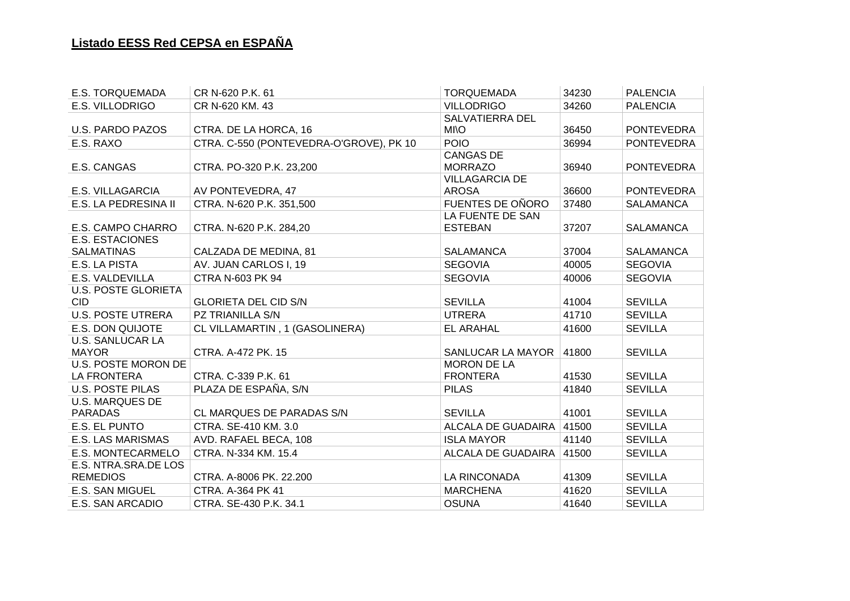| <b>E.S. TORQUEMADA</b>     | CR N-620 P.K. 61                        | <b>TORQUEMADA</b>        | 34230 | <b>PALENCIA</b>   |
|----------------------------|-----------------------------------------|--------------------------|-------|-------------------|
| E.S. VILLODRIGO            | CR N-620 KM. 43                         | <b>VILLODRIGO</b>        | 34260 | <b>PALENCIA</b>   |
|                            |                                         | <b>SALVATIERRA DEL</b>   |       |                   |
| <b>U.S. PARDO PAZOS</b>    | CTRA. DE LA HORCA, 16                   | <b>MI\O</b>              | 36450 | <b>PONTEVEDRA</b> |
| E.S. RAXO                  | CTRA. C-550 (PONTEVEDRA-O'GROVE), PK 10 | <b>POIO</b>              | 36994 | <b>PONTEVEDRA</b> |
|                            |                                         | <b>CANGAS DE</b>         |       |                   |
| E.S. CANGAS                | CTRA. PO-320 P.K. 23,200                | <b>MORRAZO</b>           | 36940 | <b>PONTEVEDRA</b> |
|                            |                                         | <b>VILLAGARCIA DE</b>    |       |                   |
| <b>E.S. VILLAGARCIA</b>    | AV PONTEVEDRA, 47                       | <b>AROSA</b>             | 36600 | <b>PONTEVEDRA</b> |
| E.S. LA PEDRESINA II       | CTRA. N-620 P.K. 351,500                | FUENTES DE OÑORO         | 37480 | <b>SALAMANCA</b>  |
|                            |                                         | LA FUENTE DE SAN         |       |                   |
| E.S. CAMPO CHARRO          | CTRA. N-620 P.K. 284,20                 | <b>ESTEBAN</b>           | 37207 | <b>SALAMANCA</b>  |
| <b>E.S. ESTACIONES</b>     |                                         |                          |       |                   |
| <b>SALMATINAS</b>          | CALZADA DE MEDINA, 81                   | <b>SALAMANCA</b>         | 37004 | <b>SALAMANCA</b>  |
| E.S. LA PISTA              | AV. JUAN CARLOS I, 19                   | <b>SEGOVIA</b>           | 40005 | <b>SEGOVIA</b>    |
| E.S. VALDEVILLA            | CTRA N-603 PK 94                        | <b>SEGOVIA</b>           | 40006 | <b>SEGOVIA</b>    |
| <b>U.S. POSTE GLORIETA</b> |                                         |                          |       |                   |
| CID.                       | <b>GLORIETA DEL CID S/N</b>             | <b>SEVILLA</b>           | 41004 | <b>SEVILLA</b>    |
| <b>U.S. POSTE UTRERA</b>   | PZ TRIANILLA S/N                        | <b>UTRERA</b>            | 41710 | <b>SEVILLA</b>    |
| <b>E.S. DON QUIJOTE</b>    | CL VILLAMARTIN, 1 (GASOLINERA)          | <b>EL ARAHAL</b>         | 41600 | <b>SEVILLA</b>    |
| <b>U.S. SANLUCAR LA</b>    |                                         |                          |       |                   |
| <b>MAYOR</b>               | CTRA. A-472 PK. 15                      | SANLUCAR LA MAYOR        | 41800 | <b>SEVILLA</b>    |
| <b>U.S. POSTE MORON DE</b> |                                         | <b>MORON DE LA</b>       |       |                   |
| LA FRONTERA                | CTRA. C-339 P.K. 61                     | <b>FRONTERA</b>          | 41530 | <b>SEVILLA</b>    |
| <b>U.S. POSTE PILAS</b>    | PLAZA DE ESPAÑA, S/N                    | <b>PILAS</b>             | 41840 | <b>SEVILLA</b>    |
| <b>U.S. MARQUES DE</b>     |                                         |                          |       |                   |
| <b>PARADAS</b>             | CL MARQUES DE PARADAS S/N               | <b>SEVILLA</b>           | 41001 | <b>SEVILLA</b>    |
| E.S. EL PUNTO              | CTRA. SE-410 KM. 3.0                    | ALCALA DE GUADAIRA       | 41500 | <b>SEVILLA</b>    |
| <b>E.S. LAS MARISMAS</b>   | AVD. RAFAEL BECA, 108                   | <b>ISLA MAYOR</b>        | 41140 | <b>SEVILLA</b>    |
| E.S. MONTECARMELO          | CTRA. N-334 KM. 15.4                    | ALCALA DE GUADAIRA 41500 |       | <b>SEVILLA</b>    |
| E.S. NTRA.SRA.DE LOS       |                                         |                          |       |                   |
| <b>REMEDIOS</b>            | CTRA. A-8006 PK. 22.200                 | LA RINCONADA             | 41309 | <b>SEVILLA</b>    |
| <b>E.S. SAN MIGUEL</b>     | CTRA. A-364 PK 41                       | <b>MARCHENA</b>          | 41620 | <b>SEVILLA</b>    |
| E.S. SAN ARCADIO           | CTRA. SE-430 P.K. 34.1                  | <b>OSUNA</b>             | 41640 | <b>SEVILLA</b>    |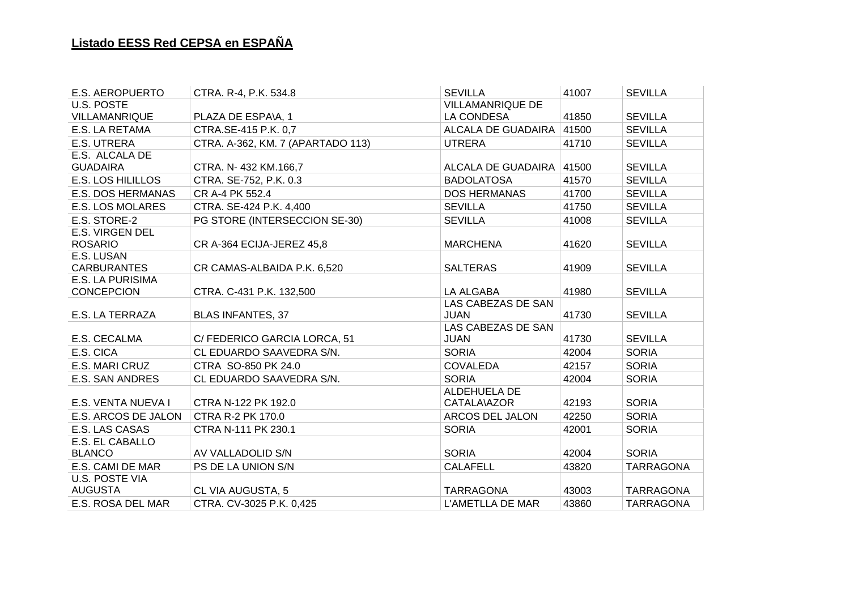| <b>E.S. AEROPUERTO</b>   | CTRA. R-4, P.K. 534.8             | <b>SEVILLA</b>          | 41007 | <b>SEVILLA</b>   |
|--------------------------|-----------------------------------|-------------------------|-------|------------------|
| U.S. POSTE               |                                   | <b>VILLAMANRIQUE DE</b> |       |                  |
| VILLAMANRIQUE            | PLAZA DE ESPA\A, 1                | LA CONDESA              | 41850 | <b>SEVILLA</b>   |
| E.S. LA RETAMA           | CTRA.SE-415 P.K. 0,7              | ALCALA DE GUADAIRA      | 41500 | <b>SEVILLA</b>   |
| E.S. UTRERA              | CTRA. A-362, KM. 7 (APARTADO 113) | <b>UTRERA</b>           | 41710 | <b>SEVILLA</b>   |
| E.S. ALCALA DE           |                                   |                         |       |                  |
| <b>GUADAIRA</b>          | CTRA. N-432 KM.166,7              | ALCALA DE GUADAIRA      | 41500 | <b>SEVILLA</b>   |
| <b>E.S. LOS HILILLOS</b> | CTRA. SE-752, P.K. 0.3            | <b>BADOLATOSA</b>       | 41570 | <b>SEVILLA</b>   |
| E.S. DOS HERMANAS        | CR A-4 PK 552.4                   | <b>DOS HERMANAS</b>     | 41700 | <b>SEVILLA</b>   |
| <b>E.S. LOS MOLARES</b>  | CTRA. SE-424 P.K. 4,400           | <b>SEVILLA</b>          | 41750 | <b>SEVILLA</b>   |
| E.S. STORE-2             | PG STORE (INTERSECCION SE-30)     | <b>SEVILLA</b>          | 41008 | <b>SEVILLA</b>   |
| <b>E.S. VIRGEN DEL</b>   |                                   |                         |       |                  |
| <b>ROSARIO</b>           | CR A-364 ECIJA-JEREZ 45,8         | <b>MARCHENA</b>         | 41620 | <b>SEVILLA</b>   |
| E.S. LUSAN               |                                   |                         |       |                  |
| <b>CARBURANTES</b>       | CR CAMAS-ALBAIDA P.K. 6,520       | <b>SALTERAS</b>         | 41909 | <b>SEVILLA</b>   |
| E.S. LA PURISIMA         |                                   |                         |       |                  |
| <b>CONCEPCION</b>        | CTRA. C-431 P.K. 132,500          | <b>LA ALGABA</b>        | 41980 | <b>SEVILLA</b>   |
|                          |                                   | LAS CABEZAS DE SAN      |       |                  |
| E.S. LA TERRAZA          | <b>BLAS INFANTES, 37</b>          | <b>JUAN</b>             | 41730 | <b>SEVILLA</b>   |
|                          |                                   | LAS CABEZAS DE SAN      |       |                  |
| E.S. CECALMA             | C/FEDERICO GARCIA LORCA, 51       | <b>JUAN</b>             | 41730 | <b>SEVILLA</b>   |
| E.S. CICA                | CL EDUARDO SAAVEDRA S/N.          | <b>SORIA</b>            | 42004 | <b>SORIA</b>     |
| E.S. MARI CRUZ           | CTRA SO-850 PK 24.0               | <b>COVALEDA</b>         | 42157 | <b>SORIA</b>     |
| <b>E.S. SAN ANDRES</b>   | CL EDUARDO SAAVEDRA S/N.          | <b>SORIA</b>            | 42004 | <b>SORIA</b>     |
|                          |                                   | ALDEHUELA DE            |       |                  |
| E.S. VENTA NUEVA I       | CTRA N-122 PK 192.0               | CATALA\AZOR             | 42193 | <b>SORIA</b>     |
| E.S. ARCOS DE JALON      | <b>CTRA R-2 PK 170.0</b>          | ARCOS DEL JALON         | 42250 | <b>SORIA</b>     |
| E.S. LAS CASAS           | CTRA N-111 PK 230.1               | <b>SORIA</b>            | 42001 | <b>SORIA</b>     |
| E.S. EL CABALLO          |                                   |                         |       |                  |
| <b>BLANCO</b>            | AV VALLADOLID S/N                 | <b>SORIA</b>            | 42004 | <b>SORIA</b>     |
| E.S. CAMI DE MAR         | PS DE LA UNION S/N                | <b>CALAFELL</b>         | 43820 | <b>TARRAGONA</b> |
| <b>U.S. POSTE VIA</b>    |                                   |                         |       |                  |
| <b>AUGUSTA</b>           | <b>CL VIA AUGUSTA, 5</b>          | <b>TARRAGONA</b>        | 43003 | <b>TARRAGONA</b> |
| E.S. ROSA DEL MAR        | CTRA. CV-3025 P.K. 0,425          | L'AMETLLA DE MAR        | 43860 | <b>TARRAGONA</b> |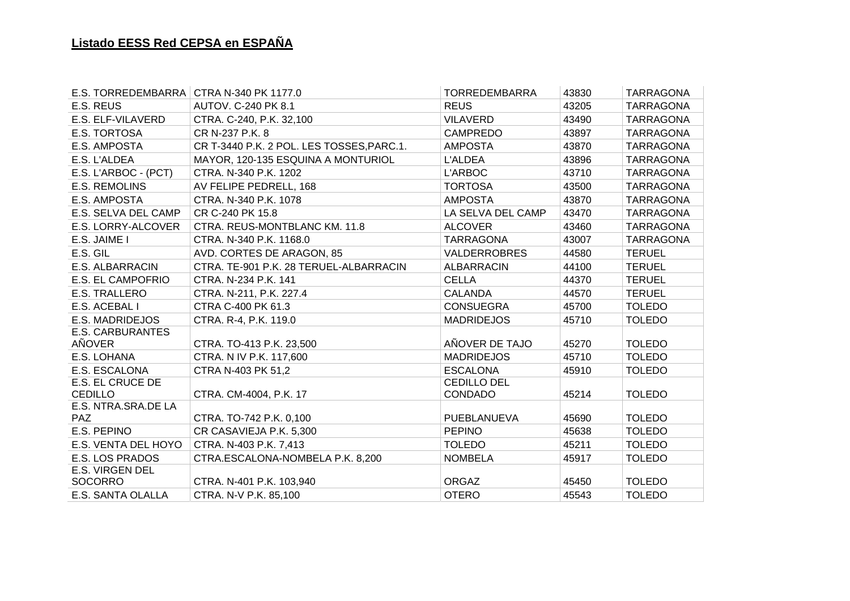| E.S. TORREDEMBARRA CTRA N-340 PK 1177.0 |                                           | <b>TORREDEMBARRA</b> | 43830 | <b>TARRAGONA</b>               |
|-----------------------------------------|-------------------------------------------|----------------------|-------|--------------------------------|
| E.S. REUS                               | AUTOV. C-240 PK 8.1                       | <b>REUS</b>          | 43205 | <b>TARRAGONA</b>               |
| E.S. ELF-VILAVERD                       | CTRA. C-240, P.K. 32,100                  | <b>VILAVERD</b>      | 43490 | <b>TARRAGONA</b>               |
| E.S. TORTOSA                            | CR N-237 P.K. 8                           | <b>CAMPREDO</b>      | 43897 | <b>TARRAGONA</b>               |
| E.S. AMPOSTA                            | CR T-3440 P.K. 2 POL. LES TOSSES, PARC.1. | <b>AMPOSTA</b>       | 43870 | <b>TARRAGONA</b>               |
| E.S. L'ALDEA                            | MAYOR, 120-135 ESQUINA A MONTURIOL        | L'ALDEA              | 43896 | <b>TARRAGONA</b>               |
| E.S. L'ARBOC - (PCT)                    | CTRA. N-340 P.K. 1202                     | L'ARBOC              | 43710 | <b>TARRAGONA</b>               |
| <b>E.S. REMOLINS</b>                    | AV FELIPE PEDRELL, 168                    | <b>TORTOSA</b>       | 43500 | <b>TARRAGONA</b>               |
| E.S. AMPOSTA                            | CTRA. N-340 P.K. 1078                     | <b>AMPOSTA</b>       | 43870 | <b>TARRAGONA</b>               |
| E.S. SELVA DEL CAMP                     | CR C-240 PK 15.8                          | LA SELVA DEL CAMP    | 43470 | <b>TARRAGONA</b>               |
| E.S. LORRY-ALCOVER                      | CTRA. REUS-MONTBLANC KM. 11.8             | <b>ALCOVER</b>       | 43460 | <b>TARRAGONA</b>               |
| E.S. JAIME I                            | CTRA. N-340 P.K. 1168.0                   | <b>TARRAGONA</b>     | 43007 | <b>TARRAGONA</b>               |
| E.S. GIL                                | AVD. CORTES DE ARAGON, 85                 | <b>VALDERROBRES</b>  | 44580 | <b>TERUEL</b>                  |
| E.S. ALBARRACIN                         | CTRA. TE-901 P.K. 28 TERUEL-ALBARRACIN    | <b>ALBARRACIN</b>    | 44100 | <b>TERUEL</b>                  |
| E.S. EL CAMPOFRIO                       | CTRA. N-234 P.K. 141                      | <b>CELLA</b>         | 44370 | <b>TERUEL</b>                  |
| <b>E.S. TRALLERO</b>                    | CTRA. N-211, P.K. 227.4                   | <b>CALANDA</b>       | 44570 | <b>TERUEL</b>                  |
| E.S. ACEBAL I                           | CTRA C-400 PK 61.3                        | <b>CONSUEGRA</b>     | 45700 | <b>TOLEDO</b>                  |
| E.S. MADRIDEJOS                         | CTRA. R-4, P.K. 119.0                     | <b>MADRIDEJOS</b>    | 45710 | <b>TOLEDO</b>                  |
| <b>E.S. CARBURANTES</b>                 |                                           |                      |       |                                |
| AÑOVER                                  | CTRA. TO-413 P.K. 23,500                  | AÑOVER DE TAJO       | 45270 | <b>TOLEDO</b>                  |
| E.S. LOHANA                             | CTRA. N IV P.K. 117,600                   | <b>MADRIDEJOS</b>    | 45710 | <b>TOLEDO</b>                  |
| E.S. ESCALONA                           | CTRA N-403 PK 51,2                        | <b>ESCALONA</b>      | 45910 | <b>TOLEDO</b>                  |
| <b>E.S. EL CRUCE DE</b>                 |                                           | <b>CEDILLO DEL</b>   |       |                                |
| <b>CEDILLO</b>                          | CTRA. CM-4004, P.K. 17                    | <b>CONDADO</b>       | 45214 | <b>TOLEDO</b>                  |
| E.S. NTRA.SRA.DE LA                     |                                           | PUEBLANUEVA          |       |                                |
| <b>PAZ</b>                              | CTRA. TO-742 P.K. 0,100                   |                      | 45690 | <b>TOLEDO</b>                  |
| E.S. PEPINO<br>E.S. VENTA DEL HOYO      | CR CASAVIEJA P.K. 5,300                   | <b>PEPINO</b>        | 45638 | <b>TOLEDO</b><br><b>TOLEDO</b> |
|                                         | CTRA. N-403 P.K. 7,413                    | <b>TOLEDO</b>        | 45211 |                                |
| E.S. LOS PRADOS<br>E.S. VIRGEN DEL      | CTRA.ESCALONA-NOMBELA P.K. 8,200          | <b>NOMBELA</b>       | 45917 | <b>TOLEDO</b>                  |
| <b>SOCORRO</b>                          | CTRA. N-401 P.K. 103,940                  | <b>ORGAZ</b>         | 45450 | <b>TOLEDO</b>                  |
| E.S. SANTA OLALLA                       | CTRA. N-V P.K. 85,100                     | <b>OTERO</b>         | 45543 | <b>TOLEDO</b>                  |
|                                         |                                           |                      |       |                                |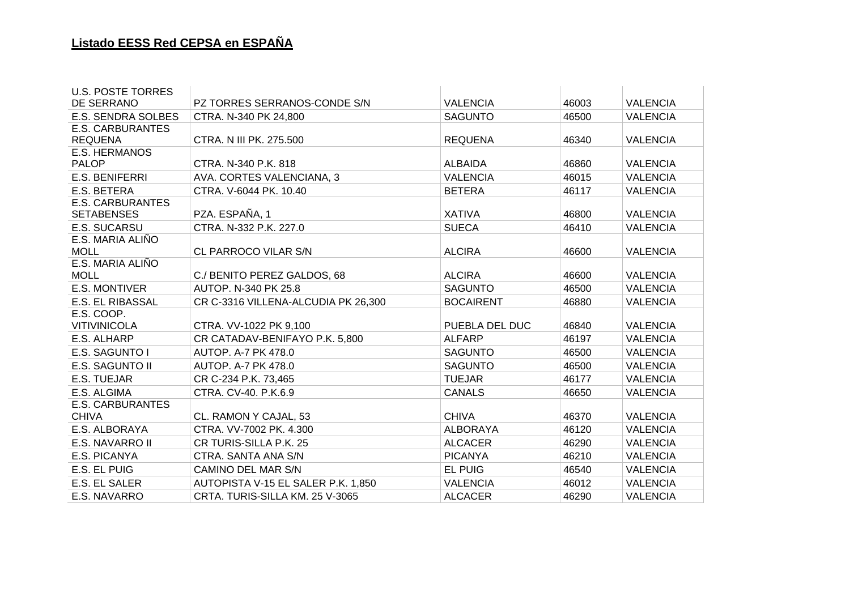| <b>U.S. POSTE TORRES</b>               |                                     |                  |       |                 |
|----------------------------------------|-------------------------------------|------------------|-------|-----------------|
| DE SERRANO                             | PZ TORRES SERRANOS-CONDE S/N        | <b>VALENCIA</b>  | 46003 | <b>VALENCIA</b> |
| <b>E.S. SENDRA SOLBES</b>              | CTRA. N-340 PK 24,800               | <b>SAGUNTO</b>   | 46500 | <b>VALENCIA</b> |
| <b>E.S. CARBURANTES</b>                |                                     |                  |       |                 |
| <b>REQUENA</b>                         | CTRA. N III PK. 275.500             | <b>REQUENA</b>   | 46340 | <b>VALENCIA</b> |
| <b>E.S. HERMANOS</b>                   |                                     |                  |       |                 |
| <b>PALOP</b>                           | CTRA. N-340 P.K. 818                | <b>ALBAIDA</b>   | 46860 | <b>VALENCIA</b> |
| <b>E.S. BENIFERRI</b>                  | AVA. CORTES VALENCIANA, 3           | <b>VALENCIA</b>  | 46015 | <b>VALENCIA</b> |
| E.S. BETERA                            | CTRA. V-6044 PK. 10.40              | <b>BETERA</b>    | 46117 | <b>VALENCIA</b> |
| <b>E.S. CARBURANTES</b>                |                                     |                  |       |                 |
| <b>SETABENSES</b>                      | PZA. ESPAÑA, 1                      | <b>XATIVA</b>    | 46800 | <b>VALENCIA</b> |
| E.S. SUCARSU                           | CTRA. N-332 P.K. 227.0              | <b>SUECA</b>     | 46410 | <b>VALENCIA</b> |
| E.S. MARIA ALIÑO                       |                                     |                  |       |                 |
| <b>MOLL</b>                            | CL PARROCO VILAR S/N                | <b>ALCIRA</b>    | 46600 | <b>VALENCIA</b> |
| E.S. MARIA ALIÑO<br><b>MOLL</b>        | C./ BENITO PEREZ GALDOS, 68         | <b>ALCIRA</b>    | 46600 | <b>VALENCIA</b> |
| <b>E.S. MONTIVER</b>                   | AUTOP, N-340 PK 25.8                | <b>SAGUNTO</b>   | 46500 | <b>VALENCIA</b> |
|                                        |                                     |                  |       |                 |
| <b>E.S. EL RIBASSAL</b>                | CR C-3316 VILLENA-ALCUDIA PK 26,300 | <b>BOCAIRENT</b> | 46880 | <b>VALENCIA</b> |
| E.S. COOP.<br><b>VITIVINICOLA</b>      | CTRA. VV-1022 PK 9,100              | PUEBLA DEL DUC   | 46840 | <b>VALENCIA</b> |
| E.S. ALHARP                            | CR CATADAV-BENIFAYO P.K. 5,800      | <b>ALFARP</b>    | 46197 | <b>VALENCIA</b> |
| E.S. SAGUNTO I                         | AUTOP. A-7 PK 478.0                 | <b>SAGUNTO</b>   | 46500 | <b>VALENCIA</b> |
| <b>E.S. SAGUNTO II</b>                 | AUTOP. A-7 PK 478.0                 | <b>SAGUNTO</b>   | 46500 | <b>VALENCIA</b> |
| E.S. TUEJAR                            | CR C-234 P.K. 73,465                | <b>TUEJAR</b>    | 46177 | <b>VALENCIA</b> |
|                                        |                                     |                  |       |                 |
| E.S. ALGIMA<br><b>E.S. CARBURANTES</b> | CTRA. CV-40. P.K.6.9                | <b>CANALS</b>    | 46650 | <b>VALENCIA</b> |
| <b>CHIVA</b>                           | CL. RAMON Y CAJAL, 53               | <b>CHIVA</b>     | 46370 | <b>VALENCIA</b> |
| E.S. ALBORAYA                          | CTRA. VV-7002 PK. 4.300             | <b>ALBORAYA</b>  | 46120 | <b>VALENCIA</b> |
| E.S. NAVARRO II                        | CR TURIS-SILLA P.K. 25              | <b>ALCACER</b>   | 46290 | <b>VALENCIA</b> |
|                                        |                                     |                  |       |                 |
| E.S. PICANYA                           | CTRA. SANTA ANA S/N                 | <b>PICANYA</b>   | 46210 | <b>VALENCIA</b> |
| E.S. EL PUIG                           | CAMINO DEL MAR S/N                  | <b>EL PUIG</b>   | 46540 | <b>VALENCIA</b> |
| E.S. EL SALER                          | AUTOPISTA V-15 EL SALER P.K. 1,850  | <b>VALENCIA</b>  | 46012 | <b>VALENCIA</b> |
| E.S. NAVARRO                           | CRTA. TURIS-SILLA KM. 25 V-3065     | <b>ALCACER</b>   | 46290 | <b>VALENCIA</b> |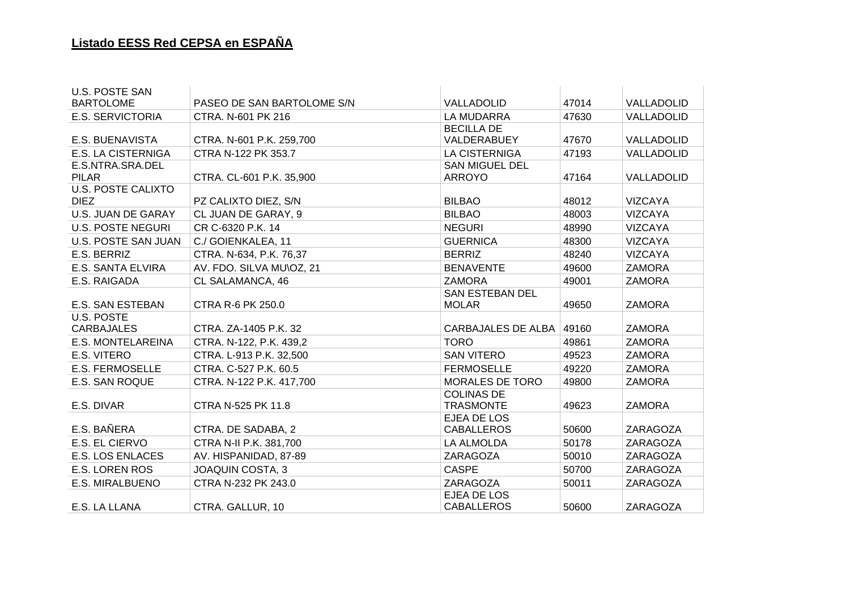| <b>U.S. POSTE SAN</b>     |                            |                                        |       |                   |
|---------------------------|----------------------------|----------------------------------------|-------|-------------------|
| <b>BARTOLOME</b>          | PASEO DE SAN BARTOLOME S/N | <b>VALLADOLID</b>                      | 47014 | <b>VALLADOLID</b> |
| <b>E.S. SERVICTORIA</b>   | CTRA. N-601 PK 216         | <b>LA MUDARRA</b>                      | 47630 | VALLADOLID        |
| <b>E.S. BUENAVISTA</b>    | CTRA. N-601 P.K. 259,700   | <b>BECILLA DE</b><br>VALDERABUEY       | 47670 | VALLADOLID        |
| <b>E.S. LA CISTERNIGA</b> | CTRA N-122 PK 353.7        | <b>LA CISTERNIGA</b>                   | 47193 | VALLADOLID        |
| E.S.NTRA.SRA.DEL          |                            | <b>SAN MIGUEL DEL</b>                  |       |                   |
| <b>PILAR</b>              | CTRA. CL-601 P.K. 35,900   | <b>ARROYO</b>                          | 47164 | VALLADOLID        |
| <b>U.S. POSTE CALIXTO</b> |                            |                                        |       |                   |
| <b>DIEZ</b>               | PZ CALIXTO DIEZ, S/N       | <b>BILBAO</b>                          | 48012 | <b>VIZCAYA</b>    |
| U.S. JUAN DE GARAY        | CL JUAN DE GARAY, 9        | <b>BILBAO</b>                          | 48003 | <b>VIZCAYA</b>    |
| <b>U.S. POSTE NEGURI</b>  | CR C-6320 P.K. 14          | <b>NEGURI</b>                          | 48990 | <b>VIZCAYA</b>    |
| U.S. POSTE SAN JUAN       | C./ GOIENKALEA, 11         | <b>GUERNICA</b>                        | 48300 | <b>VIZCAYA</b>    |
| E.S. BERRIZ               | CTRA. N-634, P.K. 76,37    | <b>BERRIZ</b>                          | 48240 | <b>VIZCAYA</b>    |
| <b>E.S. SANTA ELVIRA</b>  | AV. FDO. SILVA MU\OZ, 21   | <b>BENAVENTE</b>                       | 49600 | <b>ZAMORA</b>     |
| E.S. RAIGADA              | CL SALAMANCA, 46           | <b>ZAMORA</b>                          | 49001 | <b>ZAMORA</b>     |
| <b>E.S. SAN ESTEBAN</b>   | <b>CTRA R-6 PK 250.0</b>   | <b>SAN ESTEBAN DEL</b><br><b>MOLAR</b> | 49650 | <b>ZAMORA</b>     |
| U.S. POSTE                |                            |                                        |       |                   |
| <b>CARBAJALES</b>         | CTRA. ZA-1405 P.K. 32      | <b>CARBAJALES DE ALBA</b>              | 49160 | <b>ZAMORA</b>     |
| <b>E.S. MONTELAREINA</b>  | CTRA. N-122, P.K. 439,2    | <b>TORO</b>                            | 49861 | <b>ZAMORA</b>     |
| E.S. VITERO               | CTRA. L-913 P.K. 32,500    | <b>SAN VITERO</b>                      | 49523 | <b>ZAMORA</b>     |
| <b>E.S. FERMOSELLE</b>    | CTRA. C-527 P.K. 60.5      | <b>FERMOSELLE</b>                      | 49220 | <b>ZAMORA</b>     |
| E.S. SAN ROQUE            | CTRA. N-122 P.K. 417,700   | MORALES DE TORO                        | 49800 | <b>ZAMORA</b>     |
| E.S. DIVAR                | CTRA N-525 PK 11.8         | <b>COLINAS DE</b><br><b>TRASMONTE</b>  | 49623 | <b>ZAMORA</b>     |
| E.S. BAÑERA               | CTRA. DE SADABA, 2         | EJEA DE LOS<br><b>CABALLEROS</b>       | 50600 | ZARAGOZA          |
| E.S. EL CIERVO            | CTRA N-II P.K. 381,700     | LA ALMOLDA                             | 50178 | ZARAGOZA          |
| <b>E.S. LOS ENLACES</b>   | AV. HISPANIDAD, 87-89      | ZARAGOZA                               | 50010 | ZARAGOZA          |
| <b>E.S. LOREN ROS</b>     | <b>JOAQUIN COSTA, 3</b>    | <b>CASPE</b>                           | 50700 | ZARAGOZA          |
| E.S. MIRALBUENO           | CTRA N-232 PK 243.0        | ZARAGOZA                               | 50011 | ZARAGOZA          |
| E.S. LA LLANA             | CTRA. GALLUR, 10           | EJEA DE LOS<br><b>CABALLEROS</b>       | 50600 | ZARAGOZA          |